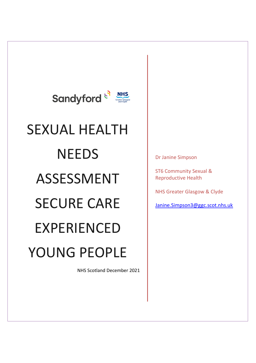

# SEXUAL HEALTH **NEEDS** ASSESSMENT SECURE CARE EXPERIENCED YOUNG PEOPLE

NHS Scotland December 2021

Dr Janine Simpson

ST6 Community Sexual & Reproductive Health

NHS Greater Glasgow & Clyde

[Janine.Simpson3@ggc.scot.nhs.uk](mailto:Janine.Simpson3@ggc.scot.nhs.uk)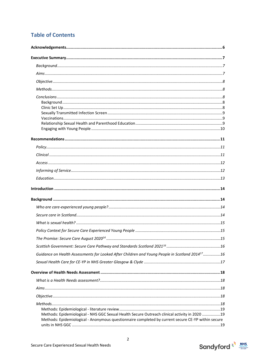# **Table of Contents**

| Guidance on Health Assessments for Looked After Children and Young People in Scotland 2014 <sup>17</sup> 16                                                                                         |
|-----------------------------------------------------------------------------------------------------------------------------------------------------------------------------------------------------|
|                                                                                                                                                                                                     |
|                                                                                                                                                                                                     |
|                                                                                                                                                                                                     |
|                                                                                                                                                                                                     |
|                                                                                                                                                                                                     |
| Methods: Epidemiological - NHS GGC Sexual Health Secure Outreach clinical activity in 2020 19<br>Methods: Epidemiological - Anonymous questionnaire completed by current secure CE-YP within secure |



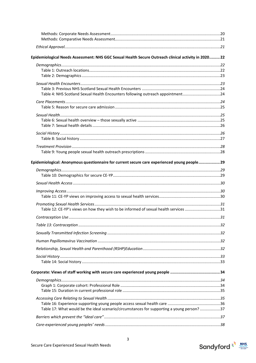| Epidemiological Needs Assessment: NHS GGC Sexual Health Secure Outreach clinical activity in 202022 |  |
|-----------------------------------------------------------------------------------------------------|--|
|                                                                                                     |  |
|                                                                                                     |  |
|                                                                                                     |  |
|                                                                                                     |  |
|                                                                                                     |  |
| Table 4: NHS Scotland Sexual Health Encounters following outreach appointment24                     |  |
|                                                                                                     |  |
|                                                                                                     |  |
|                                                                                                     |  |
|                                                                                                     |  |
|                                                                                                     |  |
|                                                                                                     |  |
|                                                                                                     |  |
|                                                                                                     |  |
|                                                                                                     |  |
|                                                                                                     |  |
| Epidemiological: Anonymous questionnaire for current secure care experienced young people 29        |  |
|                                                                                                     |  |
|                                                                                                     |  |
|                                                                                                     |  |
|                                                                                                     |  |
|                                                                                                     |  |
|                                                                                                     |  |
| Table 12: CE-YP's views on how they wish to be informed of sexual health services 31                |  |
|                                                                                                     |  |
|                                                                                                     |  |
|                                                                                                     |  |
|                                                                                                     |  |
|                                                                                                     |  |
|                                                                                                     |  |
|                                                                                                     |  |
|                                                                                                     |  |
|                                                                                                     |  |
|                                                                                                     |  |
|                                                                                                     |  |
|                                                                                                     |  |
|                                                                                                     |  |
|                                                                                                     |  |
| Table 17: What would be the ideal scenario/circumstances for supporting a young person? 37          |  |
|                                                                                                     |  |
|                                                                                                     |  |



 $\overline{\mathbf{3}}$ 

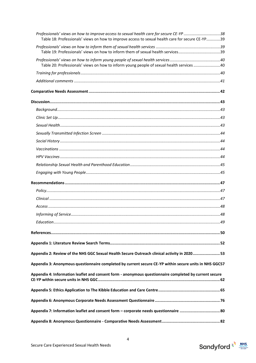| Professionals' views on how to improve access to sexual health care for secure CE-YP 38<br>Table 18: Professionals' views on how to improve access to sexual health care for secure CE-YP39 |  |
|---------------------------------------------------------------------------------------------------------------------------------------------------------------------------------------------|--|
| Table 19: Professionals' views on how to inform them of sexual health services39                                                                                                            |  |
| Table 20: Professionals' views on how to inform young people of sexual health services 40                                                                                                   |  |
|                                                                                                                                                                                             |  |
|                                                                                                                                                                                             |  |
|                                                                                                                                                                                             |  |
|                                                                                                                                                                                             |  |
|                                                                                                                                                                                             |  |
|                                                                                                                                                                                             |  |
|                                                                                                                                                                                             |  |
|                                                                                                                                                                                             |  |
|                                                                                                                                                                                             |  |
|                                                                                                                                                                                             |  |
|                                                                                                                                                                                             |  |
|                                                                                                                                                                                             |  |
|                                                                                                                                                                                             |  |
|                                                                                                                                                                                             |  |
|                                                                                                                                                                                             |  |
|                                                                                                                                                                                             |  |
|                                                                                                                                                                                             |  |
|                                                                                                                                                                                             |  |
|                                                                                                                                                                                             |  |
|                                                                                                                                                                                             |  |
|                                                                                                                                                                                             |  |
|                                                                                                                                                                                             |  |
| Appendix 2: Review of the NHS GGC Sexual Health Secure Outreach clinical activity in 2020 53                                                                                                |  |
| Appendix 3: Anonymous questionnaire completed by current secure CE-YP within secure units in NHS GGC57                                                                                      |  |
| Appendix 4: Information leaflet and consent form - anonymous questionnaire completed by current secure                                                                                      |  |
|                                                                                                                                                                                             |  |
|                                                                                                                                                                                             |  |
| Appendix 7: Information leaflet and consent form - corporate needs questionnaire  80                                                                                                        |  |

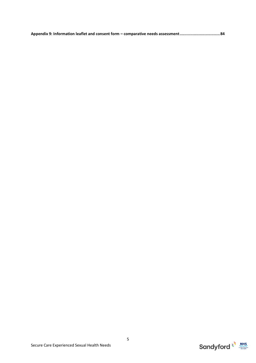**Appendix 9: Information leaflet and consent form – [comparative needs assessment..................................84](#page-83-0)**



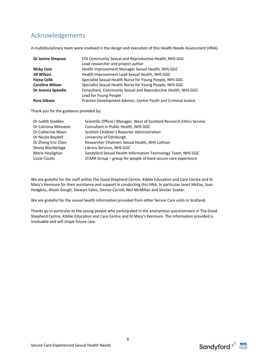# <span id="page-5-0"></span>Acknowledgements

A multidisciplinary team were involved in the design and execution of this Health Needs Assessment (HNA).

| <b>Dr Janine Simpson</b> | ST6 Community Sexual and Reproductive Health, NHS GGC           |
|--------------------------|-----------------------------------------------------------------|
|                          | Lead researcher and project author                              |
| Nicky Coia               | Health Improvement Manager Sexual Health, NHS GGC               |
| Jill Wilson              | Health Improvement Lead Sexual Health, NHS GGC                  |
| <b>Fiona Celik</b>       | Specialist Sexual Health Nurse for Young People, NHS GGC        |
| <b>Caroline Wilson</b>   | Specialist Sexual Health Nurse for Young People, NHS GGC        |
| Dr Joanna Speedie        | Consultant, Community Sexual and Reproductive Health, NHS GGC   |
|                          | Lead for Young People                                           |
| <b>Ross Gibson</b>       | Practice Development Advisor, Centre Youth and Criminal Justice |

Thank you for the guidance provided by:

| Dr Judith Godden      | Scientific Officer/ Manager, West of Scotland Research Ethics Service |
|-----------------------|-----------------------------------------------------------------------|
| Dr Catriona Milosevic | Consultant in Public Health, NHS GGC                                  |
| Dr Catherine Nixon    | Scottish Children's Reporter Administration                           |
| Dr Nicola Boydell     | University of Edinburgh                                               |
| Dr Zhong Eric Chen    | Researcher Chalmers Sexual Health, NHS Lothian                        |
| Shona MacNeilage      | Library Services, NHS GGC                                             |
| Marie Hoolighan       | Sandyford Sexual Health Information Technology Team, NHS GGC          |
| Lizzie Coutts         | STARR Group – group for people of lived secure-care experience        |
|                       |                                                                       |

We are grateful for the staff within The Good Shepherd Centre, Kibble Education and Care Centre and St Mary's Kenmure for their assistance and support in conducting this HNA. In particular Janet McKay, Joan Hodgkiss, Alison Gough, Stewart Yates, Denise Carroll, Neil McMillan and Sinclair Soutar.

We are grateful for the sexual health information provided from other Secure Care units in Scotland.

Thanks go in particular to the young people who participated in the anonymous questionnaire in The Good Shepherd Centre, Kibble Education and Care Centre and St Mary's Kenmure. The information provided is invaluable and will shape future care.



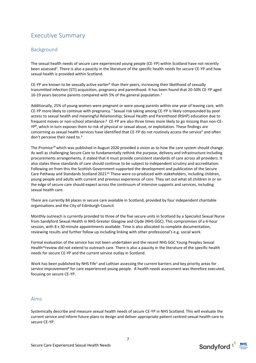# <span id="page-6-0"></span>Executive Summary

# <span id="page-6-1"></span>Background

The sexual health needs of secure care experienced young people (CE-YP) within Scotland have not recently been assessed<sup>1</sup>. There is also a paucity in the literature of the specific health needs for secure CE-YP and how sexual health is provided within Scotland.

CE-YP are known to be sexually active earlier<sup>6</sup> than their peers, increasing their likelihood of sexually transmitted infection (STI) acquisition, pregnancy and parenthood. It has been found that 20-50% CE-YP aged 16-19 years become parents compared with 5% of the general population.<sup>7</sup>

Additionally, 25% of young women were pregnant or were young parents within one year of leaving care, with CE-YP more likely to continue with pregnancy.<sup>7</sup> Sexual risk taking among CE-YP is likely compounded by poor access to sexual health and meaningful Relationship, Sexual Health and Parenthood (RSHP) education due to frequent moves or non-school attendance.<sup>8</sup> CE-YP are also three times more likely to go missing than non-CE-YP<sup>8</sup> , which in turn exposes them to risk of physical or sexual abuse, or exploitation. These findings are concerning as sexual health services have identified that CE-YP do not routinely access the service<sup>2</sup> and often don't perceive their need to.<sup>9</sup>

The Promise<sup>14</sup> which was published in August 2020 provided a vision as to how the care system should change. As well as challenging Secure Care to fundamentally rethink the purpose, delivery and infrastructure including procurements arrangements, it stated that it must provide consistent standards of care across all providers. It also states these standards of care should continue to be subject to independent scrutiny and accreditation. Following on from this the Scottish Government supported the development and publication of the Secure Care Pathway and Standards Scotland 2021<sup>16</sup> These were co-produced with stakeholders, including children, young people and adults with current and previous experience of care. They set out what all children in or on the edge of secure care should expect across the continuum of intensive supports and services, including sexual health care.

There are currently 84 places in secure care available in Scotland, provided by four independent charitable organisations and the City of Edinburgh Council.

Monthly outreach is currently provided to three of the five secure units in Scotland by a Specialist Sexual Nurse from Sandyford Sexual Health in NHS Greater Glasgow and Clyde (NHS GGC). This compromises of a 4-hour session, with 8 x 30-minute appointments available. Time is also allocated to complete documentation, reviewing results and further follow up including linking with other professional's e.g. social work.

Formal evaluation of the service has not been undertaken and the recent NHS GGC Young Peoples Sexual Health<sup>23</sup>review did not extend to outreach care. There is also a paucity in the literature of the specific health needs for secure CE-YP and the current service outlay in Scotland.

Work has been published by NHS Fife<sup>1</sup> and Lothian assessing the current barriers and key priority areas for service improvement<sup>8</sup> for care experienced young people. A health needs assessment was therefore executed, focusing on secure CE-YP.

#### <span id="page-6-2"></span>Aims

Systemically describe and measure sexual health needs of secure CE-YP in NHS Scotland. This will evaluate the current service and inform future plans to design and deliver appropriate patient centred sexual health care to secure CE-YP.

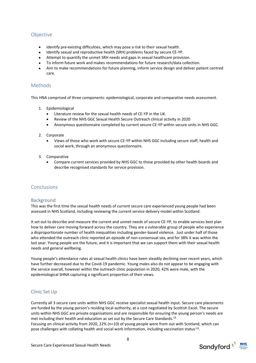# <span id="page-7-0"></span>Objective

- Identify pre-existing difficulties, which may pose a risk to their sexual health.
- Identify sexual and reproductive health (SRH) problems faced by secure CE-YP.
- Attempt to quantify the unmet SRH needs and gaps in sexual healthcare provision.
- To inform future work and makes recommendations for future research/data collection.
- Aim to make recommendations for future planning, inform service design and deliver patient centred care.

## <span id="page-7-1"></span>Methods

This HNA comprised of three components: epidemiological, corporate and comparative needs assessment.

- 1. Epidemiological
	- Literature review for the sexual health needs of CE-YP in the UK.
	- Review of the NHS GGC Sexual Health Secure Outreach clinical activity in 2020
	- Anonymous questionnaire completed by current secure CE-YP within secure units in NHS GGC.
- 2. Corporate
	- Views of those who work with secure CE-YP within NHS GGC including secure staff, health and social work, through an anonymous questionnaire.
- 3. Comparative
	- Compare current services provided by NHS GGC to those provided by other health boards and describe recognised standards for service provision.

#### <span id="page-7-2"></span>Conclusions

#### <span id="page-7-3"></span>Background

This was the first time the sexual health needs of current secure care experienced young people had been assessed in NHS Scotland, including reviewing the current service delivery model within Scotland.

It set out to describe and measure the current and unmet needs of secure CE-YP, to enable services best plan how to deliver care moving forward across the country. They are a vulnerable group of people who experience a disproportionate number of health inequalities including gender-based violence. Just under half of those who attended the outreach clinic reported an episode of non-consensual sex, and for 38% it was within the last year. Young people are the future, and it is important that we can support them with their sexual health needs and general wellbeing.

Young people's attendance rates at sexual health clinics have been steadily declining over recent years, which have further decreased due to the Covid-19 pandemic. Young males also do not appear to be engaging with the service overall, however within the outreach clinic population in 2020, 42% were male, with the epidemiological SHNA capturing a significant proportion of their views.

#### <span id="page-7-4"></span>Clinic Set Up

Currently all 3 secure care units within NHS GGC receive specialist sexual health input. Secure care placements are funded by the young person's residing local authority, at a cost negotiated by Scottish Excel. The secure units within NHS GGC are private organisations and are responsible for ensuring the young person's needs are met including their health and education as set out by the Secure Care Standards. 16 Focusing on clinical activity from 2020, 22% (n=10) of young people were from out with Scotland, which can

pose challenges with collating health and social work information, including vaccination status<sup>1,8</sup>.



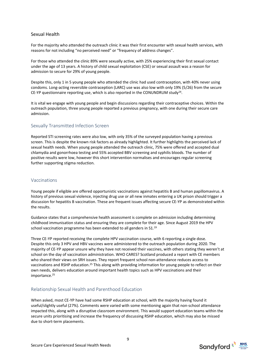#### Sexual Health

For the majority who attended the outreach clinic it was their first encounter with sexual health services, with reasons for not including "no perceived need" or "frequency of address changes".

For those who attended the clinic 89% were sexually active, with 25% experiencing their first sexual contact under the age of 13 years. A history of child sexual exploitation (CSE) or sexual assault was a reason for admission to secure for 29% of young people.

Despite this, only 1 in 5 young people who attended the clinic had used contraception, with 40% never using condoms. Long-acting reversible contraception (LARC) use was also low with only 19% (5/26) from the secure CE-YP questionnaire reporting use, which is also reported in the CONUNDRUM study<sup>24</sup>.

It is vital we engage with young people and begin discussions regarding their contraceptive choices. Within the outreach population, three young people reported a previous pregnancy, with one during their secure care admission.

#### <span id="page-8-0"></span>Sexually Transmitted Infection Screen

Reported STI screening rates were also low, with only 35% of the surveyed population having a previous screen. This is despite the known risk factors as already highlighted. It further highlights the perceived lack of sexual health needs. When young people attended the outreach clinic, 75% were offered and accepted dual chlamydia and gonorrhoea testing and 55% accepted BBV screening and syphilis bloods. The number of positive results were low, however this short intervention normalises and encourages regular screening further supporting stigma reduction.

#### <span id="page-8-1"></span>Vaccinations

Young people if eligible are offered opportunistic vaccinations against hepatitis B and human papillomavirus. A history of previous sexual violence, injecting drug use or all new inmates entering a UK prison should trigger a discussion for hepatitis B vaccination. These are frequent issues affecting secure CE-YP as demonstrated within the results.

Guidance states that a comprehensive health assessment is complete on admission including determining childhood immunisation status and ensuring they are complete for their age. Since August 2019 the HPV school vaccination programme has been extended to all genders in S1.<sup>19</sup>

Three CE-YP reported receiving the complete HPV vaccination course, with 6 reporting a single dose. Despite this only 3 HPV and HBV vaccines were administered to the outreach population during 2020. The majority of CE-YP appear unsure why they have not received their vaccines, with others stating they weren't at school on the day of vaccination administration. WHO CARES? Scotland produced a report with CE members who shared their views on SRH issues. They report frequent school non-attendance reduces access to vaccinations and RSHP education.<sup>25</sup> This along with providing information for young people to reflect on their own needs, delivers education around important health topics such as HPV vaccinations and their importance.<sup>25</sup>

#### <span id="page-8-2"></span>Relationship Sexual Health and Parenthood Education

When asked, most CE-YP have had some RSHP education at school, with the majority having found it useful/slightly useful (27%). Comments were varied with some mentioning again that non-school attendance impacted this, along with a disruptive classroom environment. This would support education teams within the secure units prioritising and increase the frequency of discussing RSHP education, which may also be missed due to short-term placements.



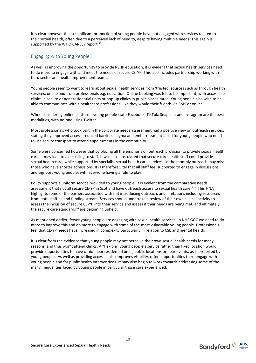It is clear however that a significant proportion of young people have not engaged with services related to their sexual health, often due to a perceived lack of need to, despite having multiple needs. This again is supported by the WHO CARES? report.<sup>25</sup>

#### <span id="page-9-0"></span>Engaging with Young People

As well as improving the opportunity to provide RSHP education, it is evident that sexual health services need to do more to engage with and meet the needs of secure CE-YP. This also includes partnership working with third sector and health improvement teams.

Young people seem to want to learn about sexual health services from 'trusted' sources such as through health services, online and from professionals e.g. education. Online booking was felt to be important, with accessible clinics in secure or near residential units or pop-up clinics in public places rated. Young people also wish to be able to communicate with a healthcare professional like they would their friends via SMS or online.

When considering online platforms young people state Facebook, TikTok, Snapchat and Instagram are the best modalities, with no-one using Twitter.

Most professionals who took part in the corporate needs assessment had a positive view on outreach services, stating they improved access, reduced barriers, stigma and embarrassment faced for young people who need to use secure transport to attend appointments in the community.

Some were concerned however that by placing all the emphasis on outreach provision to provide sexual health care, it may lead to a deskilling to staff. It was also postulated that secure care health staff could provide sexual health care, while supported by specialist sexual health care services, as the monthly outreach may miss those who have shorter admissions. It is therefore vital that all staff feel supported to engage in discussions and signpost young people, with everyone having a role to play

Policy supports a uniform service provided to young people. It is evident from the comparative needs assessment that not all secure CE-YP in Scotland have outreach access to sexual health care.<sup>1, 8</sup> This HNA highlights some of the barriers associated with not introducing outreach, and limitations including resources from both staffing and funding stream. Services should undertake a review of their own clinical activity to assess the inclusion of secure CE-YP into their service and assess if their needs are being met, and ultimately the secure care standards $16$  are beginning upheld.

As mentioned earlier, fewer young people are engaging with sexual health services. In NHS GGC we need to do more to improve this and do more to engage with some of the most vulnerable young people. Professionals feel that CE-YP needs have increased in complexity particularly in relation to CSE and mental health.

It is clear from the evidence that young people may not perceive their own sexual health needs for many reasons, and thus won't attend clinics. A "flexible" young people's service rather than fixed location would provide opportunities to have clinics near residential units, public locations or near events, as is preferred by young people. As well as providing access it also improves visibility, offers opportunities to re-engage with young people and for public health interventions. It may also begin to work towards addressing some of the many inequalities faced by young people in particular those care experienced.



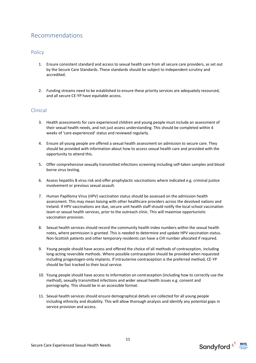# <span id="page-10-0"></span>Recommendations

## <span id="page-10-1"></span>**Policy**

- 1. Ensure consistent standard and access to sexual health care from all secure care providers, as set out by the Secure Care Standards. These standards should be subject to independent scrutiny and accredited.
- 2. Funding streams need to be established to ensure these priority services are adequately resourced, and all secure CE-YP have equitable access.

## <span id="page-10-2"></span>Clinical

- 3. Health assessments for care experienced children and young people must include an assessment of their sexual health needs, and not just assess understanding. This should be completed within 4 weeks of 'care-experienced' status and reviewed regularly.
- 4. Ensure all young people are offered a sexual health assessment on admission to secure care. They should be provided with information about how to access sexual health care and provided with the opportunity to attend this.
- 5. Offer comprehensive sexually transmitted infections screening including self-taken samples and blood borne virus testing.
- 6. Assess hepatitis B virus risk and offer prophylactic vaccinations where indicated e.g. criminal justice involvement or previous sexual assault.
- 7. Human Papilloma Virus (HPV) vaccination status should be assessed on the admission health assessment. This may mean liaising with other healthcare providers across the devolved nations and Ireland. If HPV vaccinations are due, secure unit health staff should notify the local school vaccination team or sexual health services, prior to the outreach clinic. This will maximise opportunistic vaccination provision.
- 8. Sexual health services should record the community health index numbers within the sexual health notes, where permission is granted. This is needed to determine and update HPV vaccination status. Non-Scottish patients and other temporary residents can have a CHI number allocated if required.
- 9. Young people should have access and offered the choice of all methods of contraception, including long-acting reversible methods. Where possible contraception should be provided when requested including progestogen-only implants. If intrauterine contraception is the preferred method, CE-YP should be fast tracked to their local service.
- 10. Young people should have access to information on contraception (including how to correctly use the method), sexually transmitted infections and wider sexual health issues e.g. consent and pornography. This should be in an accessible format.
- 11. Sexual health services should ensure demographical details are collected for all young people including ethnicity and disability. This will allow thorough analysis and identify any potential gaps in service provision and access.



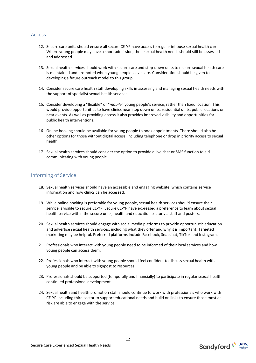#### <span id="page-11-0"></span>Access

- 12. Secure care units should ensure all secure CE-YP have access to regular inhouse sexual health care. Where young people may have a short admission, their sexual health needs should still be assessed and addressed.
- 13. Sexual health services should work with secure care and step-down units to ensure sexual health care is maintained and promoted when young people leave care. Consideration should be given to developing a future outreach model to this group.
- 14. Consider secure care health staff developing skills in assessing and managing sexual health needs with the support of specialist sexual health services.
- 15. Consider developing a "flexible" or "*mobile*" young people's service, rather than fixed location. This would provide opportunities to have clinics near step down units, residential units, public locations or near events. As well as providing access it also provides improved visibility and opportunities for public health interventions.
- 16. Online booking should be available for young people to book appointments. There should also be other options for those without digital access, including telephone or drop in priority access to sexual health.
- 17. Sexual health services should consider the option to provide a live chat or SMS function to aid communicating with young people.

# <span id="page-11-1"></span>Informing of Service

- 18. Sexual health services should have an accessible and engaging website, which contains service information and how clinics can be accessed.
- 19. While online booking is preferable for young people, sexual health services should ensure their service is visible to secure CE-YP. Secure CE-YP have expressed a preference to learn about sexual health service within the secure units, health and education sector via staff and posters.
- 20. Sexual health services should engage with social media platforms to provide opportunistic education and advertise sexual health services, including what they offer and why it is important. Targeted marketing may be helpful. Preferred platforms include Facebook, Snapchat, TikTok and Instagram.
- 21. Professionals who interact with young people need to be informed of their local services and how young people can access them.
- 22. Professionals who interact with young people should feel confident to discuss sexual health with young people and be able to signpost to resources.
- 23. Professionals should be supported (temporally and financially) to participate in regular sexual health continued professional development.
- 24. Sexual health and health promotion staff should continue to work with professionals who work with CE-YP including third sector to support educational needs and build on links to ensure those most at risk are able to engage with the service.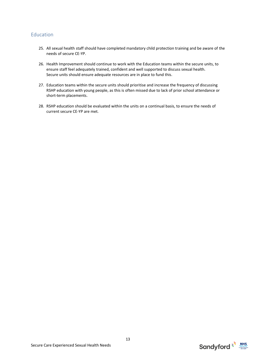# <span id="page-12-0"></span>Education

- 25. All sexual health staff should have completed mandatory child protection training and be aware of the needs of secure CE-YP.
- 26. Health Improvement should continue to work with the Education teams within the secure units, to ensure staff feel adequately trained, confident and well supported to discuss sexual health. Secure units should ensure adequate resources are in place to fund this.
- 27. Education teams within the secure units should prioritise and increase the frequency of discussing RSHP education with young people, as this is often missed due to lack of prior school attendance or short-term placements.
- 28. RSHP education should be evaluated within the units on a continual basis, to ensure the needs of current secure CE-YP are met.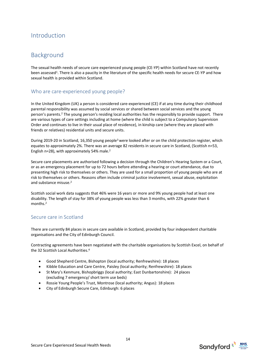# <span id="page-13-0"></span>Introduction

# <span id="page-13-1"></span>Background

The sexual health needs of secure care experienced young people (CE-YP) within Scotland have not recently been assessed<sup>1</sup>. There is also a paucity in the literature of the specific health needs for secure CE-YP and how sexual health is provided within Scotland.

## <span id="page-13-2"></span>Who are care-experienced young people?

In the United Kingdom (UK) a person is considered care-experienced (CE) if at any time during their childhood parental responsibility was assumed by social services or shared between social services and the young person's parents. <sup>2</sup> The young person's residing local authorities has the responsibly to provide support. There are various types of care settings including at home (where the child is subject to a Compulsory Supervision Order and continues to live in their usual place of residence), in kinship care (where they are placed with friends or relatives) residential units and secure units.

During 2019-20 in Scotland, 16,350 young people<sup>3</sup> were looked after or on the child protection register, which equates to approximately 2%. There was an average 82 residents in secure care in Scotland, (Scottish n=53, English n=28), with approximately 54% male. 2

Secure care placements are authorised following a decision through the Children's Hearing System or a Court, or as an emergency placement for up to 72 hours before attending a hearing or court attendance, due to presenting high risk to themselves or others. They are used for a small proportion of young people who are at risk to themselves or others. Reasons often include criminal justice involvement, sexual abuse, exploitation and substance misuse. 2

Scottish social work data suggests that 46% were 16 years or more and 9% young people had at least one disability. The length of stay for 38% of young people was less than 3 months, with 22% greater than 6 months. 2

# <span id="page-13-3"></span>Secure care in Scotland

There are currently 84 places in secure care available in Scotland, provided by four independent charitable organisations and the City of Edinburgh Council.

Contracting agreements have been negotiated with the charitable organisations by Scottish Excel, on behalf of the 32 Scottish Local Authorities.<sup>4</sup>

- Good Shepherd Centre, Bishopton (local authority; Renfrewshire): 18 places
- Kibble Education and Care Centre, Paisley (local authority; Renfrewshire): 18 places
- St Mary's Kenmure, Bishopbriggs (local authority; East Dunbartonshire): 24 places (excluding 7 emergency/ short term use beds)
- Rossie Young People's Trust, Montrose (local authority; Angus): 18 places
- City of Edinburgh Secure Care, Edinburgh: 6 places



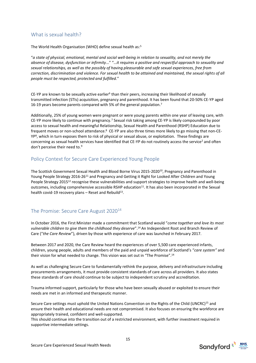# <span id="page-14-0"></span>What is sexual health?

The World Health Organisation (WHO) define sexual health as: 5

"*a state of physical, emotional, mental and social well-being in relation to sexuality, and not merely the absence of disease, dysfunction or infirmity*…" "…*it requires a positive and respectful approach to sexuality and sexual relationships, as well as the possibly of having pleasurable and safe sexual experiences, free from correction, discrimination and violence. For sexual health to be attained and maintained, the sexual rights of all people must be respected, protected and fulfilled.*"

CE-YP are known to be sexually active earlier<sup>6</sup> than their peers, increasing their likelihood of sexually transmitted infection (STIs) acquisition, pregnancy and parenthood. It has been found that 20-50% CE-YP aged 16-19 years become parents compared with 5% of the general population.<sup>7</sup>

Additionally, 25% of young women were pregnant or were young parents within one year of leaving care, with CE-YP more likely to continue with pregnancy.<sup>7</sup> Sexual risk taking among CE-YP is likely compounded by poor access to sexual health and meaningful Relationship, Sexual Health and Parenthood (RSHP) Education due to frequent moves or non-school attendance.<sup>8</sup> CE-YP are also three times more likely to go missing that non-CE-YP<sup>8</sup> , which in turn exposes them to risk of physical or sexual abuse, or exploitation. These findings are concerning as sexual health services have identified that CE-YP do not routinely access the service<sup>2</sup> and often don't perceive their need to.<sup>9</sup>

# <span id="page-14-1"></span>Policy Context for Secure Care Experienced Young People

The Scottish Government Sexual Health and Blood Borne Virus 2015-2020<sup>10</sup>, Pregnancy and Parenthood in Young People Strategy 2016-26<sup>11</sup> and Pregnancy and Getting it Right for Looked After Children and Young People Strategy 2015<sup>12</sup> recognise these vulnerabilities and support strategies to improve health and well-being outcomes, including comprehensive accessible RSHP education<sup>11</sup>. It has also been incorporated in the Sexual health covid-19 recovery plans  $-$  Reset and Rebuild<sup>13</sup>.

# <span id="page-14-2"></span>The Promise: Secure Care August 2020<sup>14</sup>

In October 2016, the First Minister made a commitment that Scotland would "*come together and love its most vulnerable children to give them the childhood they deserve*". <sup>14</sup> An Independent Root and Branch Review of Care ("*the Care Review*"), driven by those with experience of care was launched in February 2017.

Between 2017 and 2020, the Care Review heard the experiences of over 5,500 care experienced infants, children, young people, adults and members of the paid and unpaid workforce of Scotland's "*care system"* and their vision for what needed to change. This vision was set out in "The Promise".<sup>14</sup>

As well as challenging Secure Care to fundamentally rethink the purpose, delivery and infrastructure including procurements arrangements, it must provide consistent standards of care across all providers. It also states these standards of care should continue to be subject to independent scrutiny and accreditation.

Trauma informed support, particularly for those who have been sexually abused or exploited to ensure their needs are met in an informed and therapeutic manner.

Secure Care settings must uphold the United Nations Convention on the Rights of the Child (UNCRC)<sup>15</sup> and ensure their health and educational needs are not compromised. It also focuses on ensuring the workforce are appropriately trained, confident and well-supported.

This should continue into the transition out of a restricted environment, with further investment required in supportive intermediate settings.

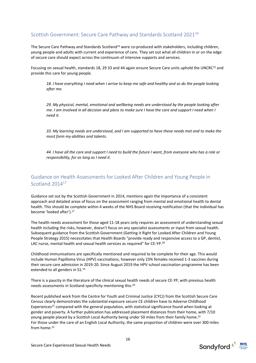# <span id="page-15-0"></span>Scottish Government: Secure Care Pathway and Standards Scotland 2021<sup>16</sup>

The Secure Care Pathway and Standards Scotland<sup>16</sup> were co-produced with stakeholders, including children, young people and adults with current and experience of care. They set out what all children in or on the edge of secure care should expect across the continuum of intensive supports and services.

Focusing on sexual health, standards 18, 29 33 and 44 again ensure Secure Care units uphold the UNCRC<sup>15</sup> and provide this care for young people.

*18. I have everything I need when I arrive to keep me safe and healthy and so do the people looking after me.*

*29. My physical, mental, emotional and wellbeing needs are understood by the people looking after me. I am involved in all decision and plans to make sure I have the care and support I need when I need it.* 

*33. My learning needs are understood, and I am supported to have these needs met and to make the most form my abilities and talents.* 

*44. I have all the care and support I need to build the future I want, from everyone who has a role or responsibility, for as long as I need it.*

# <span id="page-15-1"></span>Guidance on Health Assessments for Looked After Children and Young People in Scotland 2014<sup>17</sup>

Guidance set out by the Scottish Government in 2014, mentions again the importance of a consistent approach and detailed areas of focus on the assessment ranging from mental and emotional health to dental health. This should be complete within 4 weeks of the NHS Board receiving notification (that the individual has become 'looked after').<sup>17</sup>

The health needs assessment for those aged 11-18 years only requires an assessment of understanding sexual health including the risks, however, doesn't focus on any specialist assessments or input from sexual health. Subsequent guidance from the Scottish Government (Getting it Right for Looked After Children and Young People Strategy 2015) necessitates that Health Boards "provide ready and responsive access to a GP, dentist, LAC nurse, mental health and sexual health services as required" for CE-YP.<sup>18</sup>

Childhood immunisations are specifically mentioned and required to be complete for their age. This would include Human Papilloma Virus (HPV) vaccinations, however only 23% females received 1-3 vaccines during their secure care admission in 2019-20. Since August 2019 the HPV school vaccination programme has been extended to all genders in S1.<sup>19</sup>

There is a paucity in the literature of the clinical sexual health needs of secure CE-YP, with previous health needs assessments in Scotland specificity mentioning this. 20

Recent published work from the Centre for Youth and Criminal Justice (CYCJ) from the Scottish Secure Care Census clearly demonstrates the substantial exposure secure CE children have to Adverse Childhood Experiences<sup>21</sup> compared with the general population, with statistical significance found when looking at gender and poverty. A further publication has addressed placement distances from their home, with 7/10 young people placed by a Scottish Local Authority being under 50 miles from their family home.<sup>22</sup> For those under the care of an English Local Authority, the same proportion of children were over 300 miles from home.<sup>22</sup>

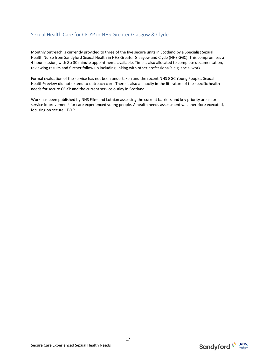# <span id="page-16-0"></span>Sexual Health Care for CE-YP in NHS Greater Glasgow & Clyde

Monthly outreach is currently provided to three of the five secure units in Scotland by a Specialist Sexual Health Nurse from Sandyford Sexual Health in NHS Greater Glasgow and Clyde (NHS GGC). This compromises a 4-hour session, with 8 x 30 minute appointments available. Time is also allocated to complete documentation, reviewing results and further follow up including linking with other professional's e.g. social work.

Formal evaluation of the service has not been undertaken and the recent NHS GGC Young Peoples Sexual Health<sup>23</sup> review did not extend to outreach care. There is also a paucity in the literature of the specific health needs for secure CE-YP and the current service outlay in Scotland.

Work has been published by NHS Fife<sup>1</sup> and Lothian assessing the current barriers and key priority areas for service improvement<sup>8</sup> for care experienced young people. A health needs assessment was therefore executed, focusing on secure CE-YP.



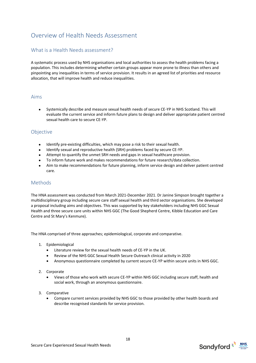# <span id="page-17-0"></span>Overview of Health Needs Assessment

# <span id="page-17-1"></span>What is a Health Needs assessment?

A systematic process used by NHS organisations and local authorities to assess the health problems facing a population. This includes determining whether certain groups appear more prone to illness than others and pinpointing any inequalities in terms of service provision. It results in an agreed list of priorities and resource allocation, that will improve health and reduce inequalities.

#### <span id="page-17-2"></span>Aims

• Systemically describe and measure sexual health needs of secure CE-YP in NHS Scotland. This will evaluate the current service and inform future plans to design and deliver appropriate patient centred sexual health care to secure CE-YP.

#### <span id="page-17-3"></span>Objective

- Identify pre-existing difficulties, which may pose a risk to their sexual health.
- Identify sexual and reproductive health (SRH) problems faced by secure CE-YP.
- Attempt to quantify the unmet SRH needs and gaps in sexual healthcare provision.
- To inform future work and makes recommendations for future research/data collection.
- Aim to make recommendations for future planning, inform service design and deliver patient centred care.

#### <span id="page-17-4"></span>**Methods**

The HNA assessment was conducted from March 2021-December 2021. Dr Janine Simpson brought together a multidisciplinary group including secure care staff sexual health and third sector organisations. She developed a proposal including aims and objectives. This was supported by key stakeholders including NHS GGC Sexual Health and three secure care units within NHS GGC (The Good Shepherd Centre, Kibble Education and Care Centre and St Mary's Kenmure).

The HNA comprised of three approaches; epidemiological, corporate and comparative.

- 1. Epidemiological
	- Literature review for the sexual health needs of CE-YP in the UK.
	- Review of the NHS GGC Sexual Health Secure Outreach clinical activity in 2020
	- Anonymous questionnaire completed by current secure CE-YP within secure units in NHS GGC.
- 2. Corporate
	- Views of those who work with secure CE-YP within NHS GGC including secure staff, health and social work, through an anonymous questionnaire.
- 3. Comparative
	- Compare current services provided by NHS GGC to those provided by other health boards and describe recognised standards for service provision.



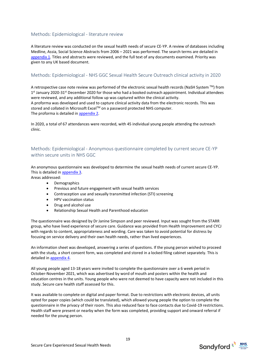#### <span id="page-18-0"></span>Methods: Epidemiological - literature review

A literature review was conducted on the sexual health needs of secure CE-YP. A review of databases including Medline, Assia, Social Science Abstracts from 2006 – 2021 was performed. The search terms are detailed in [appendix 1.](#page-50-0) Titles and abstracts were reviewed, and the full text of any documents examined. Priority was given to any UK based document.

#### <span id="page-18-1"></span>Methods: Epidemiological - NHS GGC Sexual Health Secure Outreach clinical activity in 2020

A retrospective case note review was performed of the electronic sexual health records (NaSH System  $TM$ ) from 1<sup>st</sup> January 2020-31<sup>st</sup> December 2020 for those who had a booked outreach appointment. Individual attendees were reviewed, and any additional follow up was captured within the clinical activity. A proforma was developed and used to capture clinical activity data from the electronic records. This was stored and collated in Microsoft Excel™ on a password protected NHS computer. The proforma is detailed in [appendix 2.](#page-51-1)

In 2020, a total of 67 attendances were recorded, with 45 individual young people attending the outreach clinic.

## <span id="page-18-2"></span>Methods: Epidemiological - Anonymous questionnaire completed by current secure CE-YP within secure units in NHS GGC

An anonymous questionnaire was developed to determine the sexual health needs of current secure CE-YP. This is detailed in [appendix 3.](#page-56-0)

Areas addressed:

- Demographics
- Previous and future engagement with sexual health services
- Contraception use and sexually transmitted infection (STI) screening
- HPV vaccination status
- Drug and alcohol use
- Relationship Sexual Health and Parenthood education

The questionnaire was designed by Dr Janine Simpson and peer reviewed. Input was sought from the STARR group, who have lived experience of secure care. Guidance was provided from Health Improvement and CYCJ with regards to content, appropriateness and wording. Care was taken to avoid potential for distress by focusing on service delivery and their own health needs, rather than lived experiences.

An information sheet was developed, answering a series of questions. If the young person wished to proceed with the study, a short consent form, was completed and stored in a locked filing cabinet separately. This is detailed in [appendix 4.](#page-61-0)

All young people aged 13-18 years were invited to complete the questionnaire over a 6 week period in October-November 2021, which was advertised by word of mouth and posters within the health and education centres in the units. Young people who were not deemed to have capacity were not included in this study. Secure care health staff assessed for this.

It was available to complete on digital and paper format. Due to restrictions with electronic devices, all units opted for paper copies (which could be translated), which allowed young people the option to complete the questionnaire in the privacy of their room. This also reduced face to face contacts due to Covid-19 restrictions. Health staff were present or nearby when the form was completed, providing support and onward referral if needed for the young person.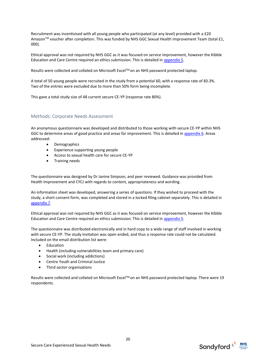Recruitment was incentivised with all young people who participated (at any level) provided with a £20 Amazon™ voucher after completion. This was funded by NHS GGC Sexual Health Improvement Team (total £1, 000).

Ethical approval was not required by NHS GGC as it was focused on service improvement, however the Kibble Education and Care Centre required an ethics submission. This is detailed in [appendix 5.](#page-64-0)

Results were collected and collated on Microsoft Excel™ on an NHS password protected laptop.

A total of 50 young people were recruited in the study from a potential 60, with a response rate of 83.3%. Two of the entries were excluded due to more than 50% form being incomplete.

This gave a total study size of 48 current secure CE-YP (response rate 80%).

#### <span id="page-19-0"></span>Methods: Corporate Needs Assessment

An anonymous questionnaire was developed and distributed to those working with secure CE-YP within NHS GGC to determine areas of good practice and areas for improvement. This is detailed i[n appendix 6.](#page-75-0) Areas addressed:

- Demographics
- Experience supporting young people
- Access to sexual health care for secure CE-YP
- Training needs

The questionnaire was designed by Dr Janine Simpson, and peer reviewed. Guidance was provided from Health Improvement and CYCJ with regards to content, appropriateness and wording.

An information sheet was developed, answering a series of questions. If they wished to proceed with the study, a short consent form, was completed and stored in a locked filing cabinet separately. This is detailed in [appendix 7.](#page-79-0)

Ethical approval was not required by NHS GGC as it was focused on service improvement, however the Kibble Education and Care Centre required an ethics submission. This is detailed in [appendix 5.](#page-64-0)

The questionnaire was distributed electronically and in hard copy to a wide range of staff involved in working with secure CE-YP. The study invitation was open ended, and thus a response rate could not be calculated. Included on the email distribution list were:

- Education
- Health (including vulnerabilities team and primary care)
- Social work (including addictions)
- Centre Youth and Criminal Justice
- Third sector organisations

Results were collected and collated on Microsoft Excel<sup>TM</sup> on an NHS password protected laptop. There were 19 respondents.



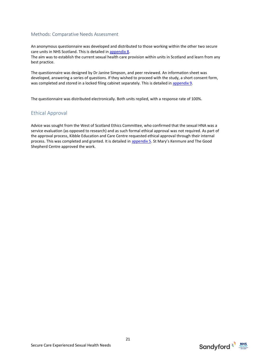#### <span id="page-20-0"></span>Methods: Comparative Needs Assessment

An anonymous questionnaire was developed and distributed to those working within the other two secure care units in NHS Scotland. This is detailed i[n appendix 8.](#page-81-0)  The aim was to establish the current sexual health care provision within units in Scotland and learn from any best practice.

The questionnaire was designed by Dr Janine Simpson, and peer reviewed. An information sheet was developed, answering a series of questions. If they wished to proceed with the study, a short consent form, was completed and stored in a locked filing cabinet separately. This is detailed in [appendix 9.](#page-83-0)

The questionnaire was distributed electronically. Both units replied, with a response rate of 100%.

# <span id="page-20-1"></span>Ethical Approval

Advice was sought from the West of Scotland Ethics Committee, who confirmed that the sexual HNA was a service evaluation (as opposed to research) and as such formal ethical approval was not required. As part of the approval process, Kibble Education and Care Centre requested ethical approval through their internal process. This was completed and granted. It is detailed in [appendix 5](#page-64-0). St Mary's Kenmure and The Good Shepherd Centre approved the work.



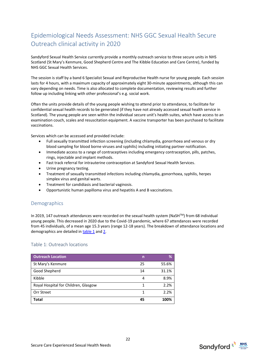# <span id="page-21-0"></span>Epidemiological Needs Assessment: NHS GGC Sexual Health Secure Outreach clinical activity in 2020

Sandyford Sexual Health Service currently provide a monthly outreach service to three secure units in NHS Scotland (St Mary's Kenmure, Good Shepherd Centre and The Kibble Education and Care Centre), funded by NHS GGC Sexual Health Services.

The session is staff by a band 6 Specialist Sexual and Reproductive Health nurse for young people. Each session lasts for 4 hours, with a maximum capacity of approximately eight 30-minute appointments, although this can vary depending on needs. Time is also allocated to complete documentation, reviewing results and further follow up including linking with other professional's e.g. social work.

Often the units provide details of the young people wishing to attend prior to attendance, to facilitate for confidential sexual health records to be generated (if they have not already accessed sexual health service in Scotland). The young people are seen within the individual secure unit's health suites, which have access to an examination couch, scales and resuscitation equipment. A vaccine transporter has been purchased to facilitate vaccinations.

Services which can be accessed and provided include:

- Full sexually transmitted infection screening (including chlamydia, gonorrhoea and venous or dry blood sampling for blood borne viruses and syphilis) including initiating partner notification.
- Immediate access to a range of contraceptives including emergency contraception, pills, patches, rings, injectable and implant methods.
- Fast track referral for intrauterine contraception at Sandyford Sexual Health Services.
- Urine pregnancy testing.
- Treatment of sexually transmitted infections including chlamydia, gonorrhoea, syphilis, herpes simplex virus and genital warts.
- Treatment for candidiasis and bacterial vaginosis.
- Opportunistic human papilloma virus and hepatitis A and B vaccinations.

#### <span id="page-21-1"></span>Demographics

In 2019, 147 outreach attendances were recorded on the sexual health system (NaSHTM) from 68 individual young people. This decreased in 2020 due to the Covid-19 pandemic, where 67 attendances were recorded from 45 individuals, of a mean age 15.3 years (range 12-18 years). The breakdown of attendance locations and demographics are detailed i[n table 1](#page-21-2) and [2.](#page-21-3)

#### <span id="page-21-2"></span>Table 1: Outreach locations

<span id="page-21-3"></span>

| <b>Outreach Location</b>             | n  | %     |
|--------------------------------------|----|-------|
| St Mary's Kenmure                    | 25 | 55.6% |
| Good Shepherd                        | 14 | 31.1% |
| Kibble                               | 4  | 8.9%  |
| Royal Hospital for Children, Glasgow | 1  | 2.2%  |
| Orr Street                           |    | 2.2%  |
| Total                                | 45 | 100%  |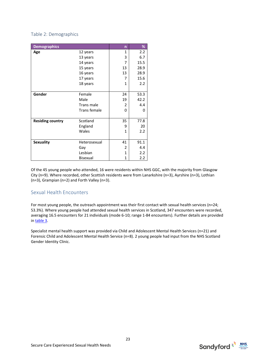#### <span id="page-22-0"></span>Table 2: Demographics

| <b>Demographics</b>     |                     | n              | %    |
|-------------------------|---------------------|----------------|------|
| Age                     | 12 years            | $\mathbf{1}$   | 2.2  |
|                         | 13 years            | 3              | 6.7  |
|                         | 14 years            | 7              | 15.5 |
|                         | 15 years            | 13             | 28.9 |
|                         | 16 years            | 13             | 28.9 |
|                         | 17 years            | 7              | 15.6 |
|                         | 18 years            | $\mathbf{1}$   | 2.2  |
|                         |                     |                |      |
| Gender                  | Female              | 24             | 53.3 |
|                         | Male                | 19             | 42.2 |
|                         | Trans male          | 2              | 4.4  |
|                         | <b>Trans female</b> | 0              | 0    |
|                         |                     |                |      |
| <b>Residing country</b> | Scotland            | 35             | 77.8 |
|                         | England             | 9              | 20   |
|                         | Wales               | 1              | 2.2  |
|                         |                     |                |      |
| <b>Sexuality</b>        | Heterosexual        | 41             | 91.1 |
|                         | Gay                 | $\overline{2}$ | 4.4  |
|                         | Lesbian             | $\mathbf{1}$   | 2.2  |
|                         | <b>Bisexual</b>     | 1              | 2.2  |

Of the 45 young people who attended, 16 were residents within NHS GGC, with the majority from Glasgow City (n=9). Where recorded, other Scottish residents were from Lanarkshire (n=3), Ayrshire (n=3), Lothian (n=3), Grampian (n=2) and Forth Valley (n=3).

# <span id="page-22-1"></span>Sexual Health Encounters

For most young people, the outreach appointment was their first contact with sexual health services (n=24; 53.3%). Where young people had attended sexual health services in Scotland, 347 encounters were recorded, averaging 16.5 encounters for 21 individuals (mode 6-10; range 1-84 encounters). Further details are provided in [table 3.](#page-22-2)

<span id="page-22-2"></span>Specialist mental health support was provided via Child and Adolescent Mental Health Services (n=21) and Forensic Child and Adolescent Mental Health Service (n=8). 2 young people had input from the NHS Scotland Gender Identity Clinic.



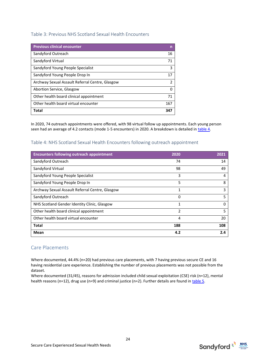#### <span id="page-23-0"></span>Table 3: Previous NHS Scotland Sexual Health Encounters

| <b>Previous clinical encounter</b>              | n   |
|-------------------------------------------------|-----|
| Sandyford Outreach                              | 16  |
| Sandyford Virtual                               | 71  |
| Sandyford Young People Specialist               | 3   |
| Sandyford Young People Drop In                  | 17  |
| Archway Sexual Assault Referral Centre, Glasgow | 2   |
| Abortion Service, Glasgow                       |     |
| Other health board clinical appointment         | 71  |
| Other health board virtual encounter            | 167 |
| Total                                           | 347 |

In 2020, 74 outreach appointments were offered, with 98 virtual follow up appointments. Each young person seen had an average of 4.2 contacts (mode 1-5 encounters) in 2020. A breakdown is detailed in [table 4.](#page-23-1)

#### <span id="page-23-1"></span>Table 4: NHS Scotland Sexual Health Encounters following outreach appointment

| <b>Encounters following outreach appointment</b> | 2020          | 2021 |
|--------------------------------------------------|---------------|------|
| Sandyford Outreach                               | 74            | 14   |
| Sandyford Virtual                                | 98            | 49   |
| Sandyford Young People Specialist                | 3             | 4    |
| Sandyford Young People Drop In                   | 5             | 8    |
| Archway Sexual Assault Referral Centre, Glasgow  | 1             | 3    |
| Sandyford Outreach                               | 0             | 5    |
| NHS Scotland Gender Identity Clinic, Glasgow     | 1             | O    |
| Other health board clinical appointment          | $\mathfrak z$ | 5    |
| Other health board virtual encounter             | 4             | 20   |
| <b>Total</b>                                     | 188           | 108  |
| Mean                                             | 4.2           | 2.4  |

#### <span id="page-23-2"></span>Care Placements

Where documented, 44.4% (n=20) had previous care placements, with 7 having previous secure CE and 16 having residential care experience. Establishing the number of previous placements was not possible from the dataset.

<span id="page-23-3"></span>Where documented (31/45), reasons for admission included child sexual exploitation (CSE) risk (n=12), mental health reasons (n=12), drug use (n=9) and criminal justice (n=2). Further details are found in [table 5.](#page-23-3)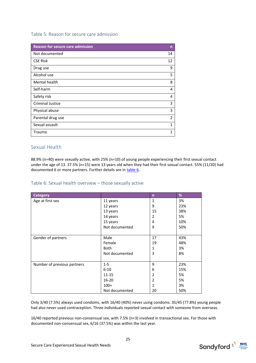#### <span id="page-24-0"></span>Table 5: Reason for secure care admission

| <b>Reason for secure care admission</b> | n              |
|-----------------------------------------|----------------|
| Not documented                          | 14             |
| <b>CSE Risk</b>                         | 12             |
| Drug use                                | 9              |
| Alcohol use                             | 5              |
| Mental health                           | 8              |
| Self-harm                               | 4              |
| Safety risk                             | 4              |
| <b>Criminal Justice</b>                 | 3              |
| Physical abuse                          | 3              |
| Parental drug use                       | $\overline{2}$ |
| Sexual assault                          | $\mathbf{1}$   |
| Trauma                                  | 1              |

## <span id="page-24-1"></span>Sexual Health

88.9% (n=40) were sexually active, with 25% (n=10) of young people experiencing their first sexual contact under the age of 13. 37.5% (n=15) were 13 years old when they had their first sexual contact. 55% (11/20) had documented 6 or more partners. Further details are in [table 6.](#page-24-2)

#### <span id="page-24-2"></span>Table 6: Sexual health overview – those sexually active

| <b>Category</b>             |                | $\mathsf{n}$ | %   |
|-----------------------------|----------------|--------------|-----|
| Age at first sex            | 11 years       | $\mathbf{1}$ | 3%  |
|                             | 12 years       | 9            | 23% |
|                             | 13 years       | 15           | 38% |
|                             | 14 years       | 2            | 5%  |
|                             | 15 years       | 4            | 10% |
|                             | Not documented | 9            | 50% |
|                             |                |              |     |
| Gender of partners          | Male           | 17           | 43% |
|                             | Female         | 19           | 48% |
|                             | Both           | 1            | 3%  |
|                             | Not documented | 3            | 8%  |
|                             |                |              |     |
| Number of previous partners | $1 - 5$        | 9            | 23% |
|                             | $6 - 10$       | 6            | 15% |
|                             | $11 - 15$      | 2            | 5%  |
|                             | $16 - 20$      | 2            | 5%  |
|                             | $100+$         | 1            | 3%  |
|                             | Not documented | 20           | 50% |

Only 3/40 (7.5%) always used condoms, with 16/40 (40%) never using condoms. 35/45 (77.8%) young people had also never used contraception. Three individuals reported sexual contact with someone from overseas.

16/40 reported previous non-consensual sex, with 7.5% (n=3) involved in transactional sex. For those with documented non-consensual sex, 6/16 (37.5%) was within the last year.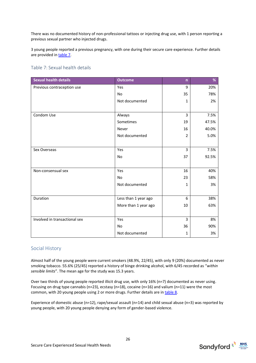There was no documented history of non-professional tattoos or injecting drug use, with 1 person reporting a previous sexual partner who injected drugs.

3 young people reported a previous pregnancy, with one during their secure care experience. Further details are provided in [table 7.](#page-25-0)

<span id="page-25-0"></span>

| <b>Sexual health details</b>  | <b>Outcome</b>       | $\mathsf{n}$   | %     |
|-------------------------------|----------------------|----------------|-------|
| Previous contraception use    | Yes                  | 9              | 20%   |
|                               | <b>No</b>            | 35             | 78%   |
|                               | Not documented       | $\mathbf{1}$   | 2%    |
|                               |                      |                |       |
| Condom Use                    | Always               | 3              | 7.5%  |
|                               | Sometimes            | 19             | 47.5% |
|                               | Never                | 16             | 40.0% |
|                               | Not documented       | $\overline{2}$ | 5.0%  |
|                               |                      |                |       |
| Sex Overseas                  | <b>Yes</b>           | 3              | 7.5%  |
|                               | <b>No</b>            | 37             | 92.5% |
|                               |                      |                |       |
| Non-consensual sex            | Yes                  | 16             | 40%   |
|                               | No                   | 23             | 58%   |
|                               | Not documented       | $\mathbf{1}$   | 3%    |
|                               |                      |                |       |
| Duration                      | Less than 1 year ago | 6              | 38%   |
|                               | More than 1 year ago | 10             | 63%   |
|                               |                      |                |       |
| Involved in transactional sex | Yes                  | 3              | 8%    |
|                               | No                   | 36             | 90%   |
|                               | Not documented       | 1              | 3%    |

#### <span id="page-25-1"></span>Social History

Almost half of the young people were current smokers (48.9%, 22/45), with only 9 (20%) documented as never smoking tobacco. 55.6% (25/45) reported a history of binge drinking alcohol, with 6/45 recorded as "*within sensible limits*". The mean age for the study was 15.3 years.

Over two thirds of young people reported illicit drug use, with only 16% (n=7) documented as never using. Focusing on drug type cannabis (n=23), ecstasy (n=18), cocaine (n=16) and valium (n=11) were the most common, with 20 young people using 2 or more drugs. Further details are i[n table 8.](#page-25-2)

<span id="page-25-2"></span>Experience of domestic abuse (n=12), rape/sexual assault (n=14) and child sexual abuse (n=3) was reported by young people, with 20 young people denying any form of gender-based violence.

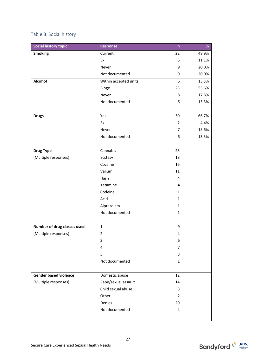# <span id="page-26-0"></span>Table 8: Social history

| <b>Social history topic</b>  | <b>Response</b>         | $\overline{\mathsf{n}}$ | %     |
|------------------------------|-------------------------|-------------------------|-------|
| <b>Smoking</b>               | Current                 | 22                      | 48.9% |
|                              | Ex                      | 5                       | 11.1% |
|                              | Never                   | 9                       | 20.0% |
|                              | Not documented          | 9                       | 20.0% |
| Alcohol                      | Within accepted units   | 6                       | 13.3% |
|                              | Binge                   | 25                      | 55.6% |
|                              | Never                   | 8                       | 17.8% |
|                              | Not documented          | 6                       | 13.3% |
|                              |                         |                         |       |
| <b>Drugs</b>                 | Yes                     | 30                      | 66.7% |
|                              | Ex                      | $\overline{2}$          | 4.4%  |
|                              | Never                   | 7                       | 15.6% |
|                              | Not documented          | 6                       | 13.3% |
|                              |                         |                         |       |
| <b>Drug Type</b>             | Cannabis                | 23                      |       |
| (Multiple responses)         | Ecstasy                 | 18                      |       |
|                              | Cocaine                 | 16                      |       |
|                              | Valium                  | 11                      |       |
|                              | Hash                    | 4                       |       |
|                              | Ketamine                | 4                       |       |
|                              | Codeine                 | 1                       |       |
|                              | Acid                    | $\mathbf{1}$            |       |
|                              | Alprazolam              | $\mathbf{1}$            |       |
|                              | Not documented          | $\mathbf{1}$            |       |
|                              |                         |                         |       |
| Number of drug classes used  | $\mathbf{1}$            | 9                       |       |
| (Multiple responses)         | $\overline{\mathbf{c}}$ | 4                       |       |
|                              | 3                       | 6                       |       |
|                              | 4                       | 7                       |       |
|                              | 5                       | 3                       |       |
|                              | Not documented          | $\mathbf{1}$            |       |
|                              |                         |                         |       |
| <b>Gender based violence</b> | Domestic abuse          | 12                      |       |
| (Multiple responses)         | Rape/sexual assault     | 14                      |       |
|                              | Child sexual abuse      | 3                       |       |
|                              | Other                   | 2                       |       |
|                              | Denies                  | 20                      |       |
|                              | Not documented          | 4                       |       |
|                              |                         |                         |       |

27

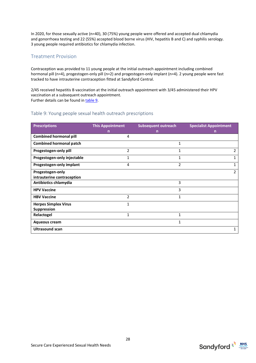In 2020, for those sexually active (n=40), 30 (75%) young people were offered and accepted dual chlamydia and gonorrhoea testing and 22 (55%) accepted blood borne virus (HIV, hepatitis B and C) and syphilis serology. 3 young people required antibiotics for chlamydia infection.

# <span id="page-27-0"></span>Treatment Provision

Contraception was provided to 11 young people at the initial outreach appointment including combined hormonal pill (n=4), progestogen-only pill (n=2) and progestogen-only implant (n=4). 2 young people were fast tracked to have intrauterine contraception fitted at Sandyford Central.

2/45 received hepatitis B vaccination at the initial outreach appointment with 3/45 administered their HPV vaccination at a subsequent outreach appointment. Further details can be found in [table 9.](#page-27-1)

#### <span id="page-27-1"></span>Table 9: Young people sexual health outreach prescriptions

| <b>Prescriptions</b>           | <b>This Appointment</b> | <b>Subsequent outreach</b> | <b>Specialist Appointment</b> |
|--------------------------------|-------------------------|----------------------------|-------------------------------|
|                                | n                       | n                          | n                             |
| <b>Combined hormonal pill</b>  | 4                       |                            |                               |
| <b>Combined hormonal patch</b> |                         | $\mathbf{1}$               |                               |
| Progestogen-only pill          | $\overline{2}$          | 1                          | $\overline{2}$                |
| Progestogen-only injectable    | 1                       | 1                          | 1                             |
| Progestogen-only implant       | 4                       | $\mathfrak{p}$             | 1                             |
| Progestogen-only               |                         |                            | $\overline{2}$                |
| intrauterine contraception     |                         |                            |                               |
| Antibiotics chlamydia          |                         | 3                          |                               |
| <b>HPV Vaccine</b>             |                         | 3                          |                               |
| <b>HBV Vaccine</b>             | $\overline{2}$          | 1                          |                               |
| <b>Herpes Simplex Virus</b>    | 1                       |                            |                               |
| <b>Suppression</b>             |                         |                            |                               |
| Relactogel                     | 1                       | 1                          |                               |
| <b>Aqueous cream</b>           |                         | 1                          |                               |
| <b>Ultrasound scan</b>         |                         |                            | 1                             |



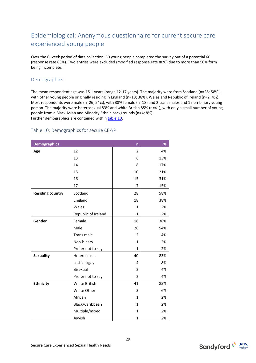# <span id="page-28-0"></span>Epidemiological: Anonymous questionnaire for current secure care experienced young people

Over the 6-week period of data collection, 50 young people completed the survey out of a potential 60 (response rate 83%). Two entries were excluded (modified response rate 80%) due to more than 50% form being incomplete.

# <span id="page-28-1"></span>Demographics

The mean respondent age was 15.1 years (range 12-17 years). The majority were from Scotland (n=28; 58%), with other young people originally residing in England (n=18; 38%), Wales and Republic of Ireland (n=2; 4%). Most respondents were male (n=26; 54%), with 38% female (n=18) and 2 trans males and 1 non-binary young person. The majority were heterosexual 83% and white British 85% (n=41), with only a small number of young people from a Black Asian and Minority Ethnic backgrounds (n=4; 8%). Further demographics are contained withi[n table 10.](#page-28-2)

#### <span id="page-28-2"></span>Table 10: Demographics for secure CE-YP

| <b>Demographics</b>     |                     | n              | %   |
|-------------------------|---------------------|----------------|-----|
| Age                     | 12                  | 2              | 4%  |
|                         | 13                  | 6              | 13% |
|                         | 14                  | 8              | 17% |
|                         | 15                  | 10             | 21% |
|                         | 16                  | 15             | 31% |
|                         | 17                  | 7              | 15% |
| <b>Residing country</b> | Scotland            | 28             | 58% |
|                         | England             | 18             | 38% |
|                         | Wales               | 1              | 2%  |
|                         | Republic of Ireland | 1              | 2%  |
| Gender                  | Female              | 18             | 38% |
|                         | Male                | 26             | 54% |
|                         | Trans male          | $\overline{2}$ | 4%  |
|                         | Non-binary          | 1              | 2%  |
|                         | Prefer not to say   | 1              | 2%  |
| <b>Sexuality</b>        | Heterosexual        | 40             | 83% |
|                         | Lesbian/gay         | 4              | 8%  |
|                         | Bisexual            | $\overline{2}$ | 4%  |
|                         | Prefer not to say   | $\overline{2}$ | 4%  |
| <b>Ethnicity</b>        | White British       | 41             | 85% |
|                         | White Other         | 3              | 6%  |
|                         | African             | $\mathbf{1}$   | 2%  |
|                         | Black/Caribbean     | $\mathbf{1}$   | 2%  |
|                         | Multiple/mixed      | 1              | 2%  |
|                         | Jewish              | 1              | 2%  |

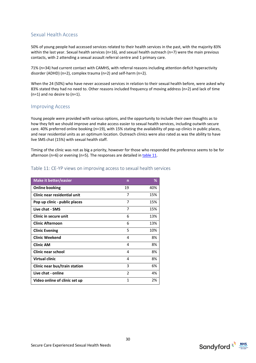# <span id="page-29-0"></span>Sexual Health Access

50% of young people had accessed services related to their health services in the past, with the majority 83% within the last year. Sexual health services (n=16), and sexual health outreach (n=7) were the main previous contacts, with 2 attending a sexual assault referral centre and 1 primary care.

71% (n=34) had current contact with CAMHS, with referral reasons including attention deficit hyperactivity disorder (ADHD) (n=2), complex trauma (n=2) and self-harm (n=2).

When the 24 (50%) who have never accessed services in relation to their sexual health before, were asked why 83% stated they had no need to. Other reasons included frequency of moving address (n=2) and lack of time (n=1) and no desire to (n=1).

#### <span id="page-29-1"></span>Improving Access

Young people were provided with various options, and the opportunity to include their own thoughts as to how they felt we should improve and make access easier to sexual health services, including outwith secure care. 40% preferred online booking (n=19), with 15% stating the availability of pop-up clinics in public places, and near residential units as an optimum location. Outreach clinics were also rated as was the ability to have live SMS chat (15%) with sexual health staff.

Timing of the clinic was not as big a priority, however for those who responded the preference seems to be for afternoon (n=6) or evening (n=5). The responses are detailed in  $table 11$ .</u>

#### <span id="page-29-2"></span>Table 11: CE-YP views on improving access to sexual health services

| <b>Make it better/easier</b>  | n              | %   |
|-------------------------------|----------------|-----|
| <b>Online booking</b>         | 19             | 40% |
| Clinic near residential unit  | 7              | 15% |
| Pop up clinic - public places | 7              | 15% |
| Live chat - SMS               | 7              | 15% |
| Clinic in secure unit         | 6              | 13% |
| <b>Clinic Afternoon</b>       | 6              | 13% |
| <b>Clinic Evening</b>         | 5              | 10% |
| <b>Clinic Weekend</b>         | 4              | 8%  |
| <b>Clinic AM</b>              | 4              | 8%  |
| <b>Clinic near school</b>     | 4              | 8%  |
| <b>Virtual clinic</b>         | 4              | 8%  |
| Clinic near bus/train station | 3              | 6%  |
| Live chat - online            | $\mathfrak{p}$ | 4%  |
| Video online of clinic set up | 1              | 2%  |

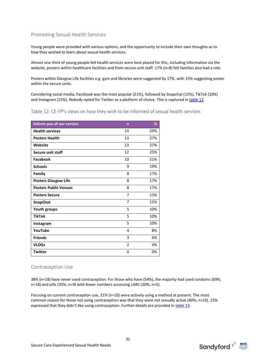# <span id="page-30-0"></span>Promoting Sexual Health Services

Young people were provided with various options, and the opportunity to include their own thoughts as to how they wished to learn about sexual health services.

Almost one third of young people felt health services were best placed for this, including information via the website, posters within healthcare facilities and from secure unit staff. 17% (n=8) felt families also had a role.

Posters within Glasgow Life facilities e.g. gym and libraries were suggested by 17%, with 15% suggesting poster within the secure units.

Considering social media, Facebook was the most popular (21%), followed by Snapchat (15%), TikTok (10%) and Instagram (15%). Nobody opted for Twitter as a platform of choice. This is captured in table 12.

#### <span id="page-30-1"></span>Table 12: CE-YP's views on how they wish to be informed of sexual health services

| Inform you of our service    | $\mathsf{n}$   | %   |
|------------------------------|----------------|-----|
| <b>Health services</b>       | 14             | 29% |
| <b>Posters Health</b>        | 13             | 27% |
| Website                      | 13             | 27% |
| <b>Secure unit staff</b>     | 12             | 25% |
| Facebook                     | 10             | 21% |
| <b>Schools</b>               | 9              | 19% |
| Family                       | 8              | 17% |
| <b>Posters Glasgow Life</b>  | 8              | 17% |
| <b>Posters Public Venues</b> | 8              | 17% |
| <b>Posters Secure</b>        | 7              | 15% |
| SnapChat                     | 7              | 15% |
| <b>Youth groups</b>          | 5              | 10% |
| <b>TikTok</b>                | 5              | 10% |
| Instagram                    | 5              | 10% |
| YouTube                      | 4              | 8%  |
| <b>Friends</b>               | 3              | 6%  |
| <b>VLOGs</b>                 | $\overline{2}$ | 4%  |
| <b>Twitter</b>               | 0              | 0%  |

#### <span id="page-30-2"></span>Contraception Use

38% (n=18) have never used contraception. For those who have (54%), the majority had used condoms (69%; n=18) and pills (35%; n=9) with fewer numbers accessing LARC (20%; n=5).

<span id="page-30-3"></span>Focusing on current contraception use, 21% (n=10) were actively using a method at present. The most common reason for those not using contraception was that they were not sexually active (40%; n=19). 25% expressed that they didn't like using contraception. Further details are provided in [table 13.](#page-30-3) 

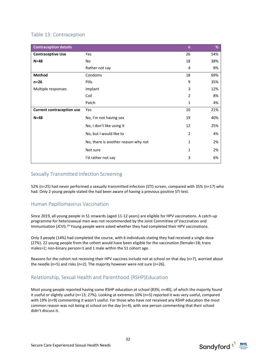# <span id="page-31-0"></span>Table 13: Contraception

| <b>Contraception details</b>     |                                     | $\mathsf{n}$   | %   |
|----------------------------------|-------------------------------------|----------------|-----|
| <b>Contraceptive Use</b>         | Yes                                 | 26             | 54% |
| $N=48$                           | No                                  | 18             | 38% |
|                                  | Rather not say                      | 4              | 8%  |
| Method                           | Condoms                             | 18             | 69% |
| $n=26$                           | Pills                               | 9              | 35% |
| Multiple responses               | Implant                             | 3              | 12% |
|                                  | Coil                                | $\overline{2}$ | 8%  |
|                                  | Patch                               | 1              | 4%  |
| <b>Current contraception use</b> | Yes                                 | 10             | 21% |
| $N=48$                           | No, I'm not having sex              | 19             | 40% |
|                                  | No, I don't like using it           | 12             | 25% |
|                                  | No, but I would like to             | $\overline{2}$ | 4%  |
|                                  | No, there is another reason why not | 1              | 2%  |
|                                  | Not sure                            | 1              | 2%  |
|                                  | I'd rather not say                  | 3              | 6%  |

# <span id="page-31-1"></span>Sexually Transmitted Infection Screening

52% (n=25) had never performed a sexually transmitted infection (STI) screen, compared with 35% (n=17) who had. Only 2 young people stated the had been aware of having a previous positive STI test.

# <span id="page-31-2"></span>Human Papillomavirus Vaccination

Since 2019, all young people in S1 onwards (aged 11-12 years) are eligible for HPV vaccinations. A catch-up programme for heterosexual men was not recommended by the Joint Committee of Vaccination and Immunisation (JCVI).<sup>19</sup> Young people were asked whether they had completed their HPV vaccinations.

Only 3 people (14%) had completed the course, with 6 individuals stating they had received a single dose (27%). 22 young people from the cohort would have been eligible for the vaccination (female=18; trans males=2; non-binary person=1 and 1 male within the S1 cohort age.

Reasons for the cohort not receiving their HPV vaccines include not at school on that day (n=7), worried about the needle (n=5) and risks (n=2). The majority however were not sure (n=26).

# <span id="page-31-3"></span>Relationship, Sexual Health and Parenthood (RSHP)Education

Most young people reported having some RSHP education at school (83%; n=40), of which the majority found it useful or slightly useful (n=13; 27%). Looking at extremes 10% (n=5) reported it was very useful, compared with 19% (n=9) commenting it wasn't useful. For those who have not received any RSHP education the most common reason was not being at school on the day (n=4), with one person commenting that their school didn't discuss it.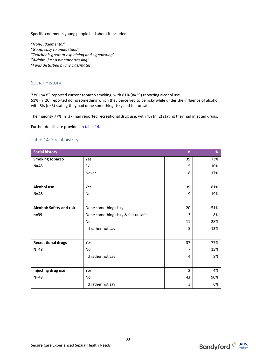Specific comments young people had about it included:

"*Non-judgemental*" "*Good, easy to understand*" "*Teacher is great at explaining and signposting*" "*Alright…just a bit embarrassing*"

"*I was disturbed by my classmates*"

#### <span id="page-32-0"></span>Social History

73% (n=35) reported current tobacco smoking, with 81% (n=39) reporting alcohol use.

51% (n=20) reported doing something which they perceived to be risky while under the influence of alcohol, with 8% (n=3) stating they had done something risky and felt unsafe.

The majority 77% (n=37) had reported recreational drug use, with 4% (n=2) stating they had injected drugs.

Further details are provided i[n table 14.](#page-32-1)

#### <span id="page-32-1"></span>Table 14: Social history

| <b>Social history</b>                        | $\overline{n}$       | %              |     |
|----------------------------------------------|----------------------|----------------|-----|
| <b>Smoking tobacco</b>                       | Yes                  | 35             | 73% |
| $N=48$                                       | Ex                   | 5              | 10% |
|                                              | Never                | 8              | 17% |
|                                              |                      |                |     |
| Alcohol use                                  | Yes                  | 39             | 81% |
| $N=48$                                       | <b>No</b>            | 9              | 19% |
|                                              |                      |                |     |
| Alcohol: Safety and risk                     | Done something risky | 20             | 51% |
| Done something risky & felt unsafe<br>$n=39$ |                      | 3              | 8%  |
|                                              | <b>No</b>            | 11             | 28% |
|                                              | I'd rather not say   | 5              | 13% |
|                                              |                      |                |     |
| <b>Recreational drugs</b>                    | Yes                  | 37             | 77% |
| $N = 48$                                     | No                   | 7              | 15% |
|                                              | I'd rather not say   | 4              | 8%  |
|                                              |                      |                |     |
| Injecting drug use                           | Yes                  | $\overline{2}$ | 4%  |
| $N=48$                                       | No                   | 43             | 90% |
|                                              | I'd rather not say   | 3              | 6%  |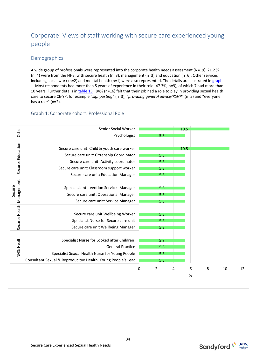# <span id="page-33-0"></span>Corporate: Views of staff working with secure care experienced young people

# <span id="page-33-1"></span>Demographics

A wide group of professionals were represented into the corporate health needs assessment (N=19). 21.2 % (n=4) were from the NHS, with secure health (n=3), management (n=3) and education (n=6). Other services including social work ( $n=2$ ) and mental health ( $n=1$ ) were also represented. The details are illustrated in graph [1.](#page-33-2) Most respondents had more than 5 years of experience in their role (47.3%; n=9), of which 7 had more than 10 years. Further details in [table 15.](#page-33-3) 84% (n=16) felt that their job had a role to play in providing sexual health care to secure CE-YP, for example "*signposting*" (n=3), "*providing general advice/RSHP*" (n=5) and "everyone has a role" (n=2).

# <span id="page-33-2"></span>Graph 1: Corporate cohort: Professional Role

|                           | Senior Social Worker                                         |   |     | 10.5 |        |   |    |
|---------------------------|--------------------------------------------------------------|---|-----|------|--------|---|----|
| Other                     | Psychologist                                                 |   | 5.3 |      |        |   |    |
|                           |                                                              |   |     |      |        |   |    |
| Secure: Education         | Secure care unit: Child & youth care worker                  |   |     | 10.5 |        |   |    |
|                           | Secure care unit: Citzenship Coordinator                     |   | 5.3 |      |        |   |    |
|                           | Secure care unit: Activity coordinator                       |   | 5.3 |      |        |   |    |
|                           | Secure care unit: Classroom support worker                   |   | 5.3 |      |        |   |    |
|                           | Secure care unit: Education Manager                          |   | 5.3 |      |        |   |    |
|                           |                                                              |   |     |      |        |   |    |
|                           | <b>Specialist Intervention Services Manager</b>              |   | 5.3 |      |        |   |    |
| Secure                    | Secure care unit: Operational Manager                        |   | 5.3 |      |        |   |    |
| Secure: Health Management | Secure care unit: Service Manager                            |   | 5.3 |      |        |   |    |
|                           |                                                              |   |     |      |        |   |    |
|                           | Secure care unit Wellbeing Worker                            |   | 5.3 |      |        |   |    |
|                           | Specialist Nurse for Secure care unit                        |   | 5.3 |      |        |   |    |
|                           | Secure care unit Wellbeing Manager                           |   | 5.3 |      |        |   |    |
|                           |                                                              |   |     |      |        |   |    |
|                           | Specialist Nurse for Looked after Children                   |   | 5.3 |      |        |   |    |
| NHS: Health               | <b>General Practice</b>                                      |   | 5.3 |      |        |   |    |
|                           | Specialist Sexual Health Nurse for Young People              |   | 5.3 |      |        |   |    |
|                           | Consultant Sexual & Reproducitve Health, Young People's Lead |   | 5.3 |      |        |   |    |
|                           |                                                              |   |     |      |        |   |    |
|                           |                                                              | 0 | 2   | 4    | 6<br>% | 8 | 10 |

<span id="page-33-3"></span>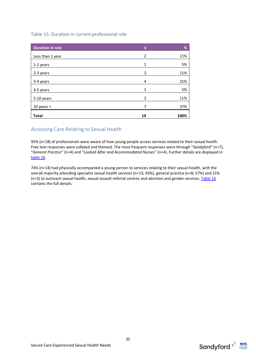#### <span id="page-34-0"></span>Table 15: Duration in current professional role

| <b>Duration in role</b> | $\mathsf{n}$ | %    |
|-------------------------|--------------|------|
| Less than 1 year        | 2            | 11%  |
| 1-2 years               | 1            | 5%   |
| 2-3 years               | 2            | 11%  |
| 3-4 years               | 4            | 21%  |
| 4-5 years               | 1            | 5%   |
| 5-10 years              | 2            | 11%  |
| 10 years $+$            | 7            | 37%  |
| <b>Total</b>            | 19           | 100% |

# <span id="page-34-1"></span>Accessing Care Relating to Sexual Health

95% (n=18) of professionals were aware of how young people access services related to their sexual health. Free text responses were collated and themed. The most frequent responses were through "*Sandyford*" (n=7), "*General Practice*" (n=4) and "*Looked After and Accommodated Nurses*" (n=4). Further details are displayed in [table 16.](#page-34-2)

<span id="page-34-2"></span>74% (n=14) had physically accompanied a young person to services relating to their sexual health, with the overall majority attending specialist sexual health services (n=13; 93%), general practice (n=8; 57%) and 21% (n=3) to outreach sexual health, sexual assault referral centres and abortion and gender services. [Table 16](#page-34-2) contains the full details.

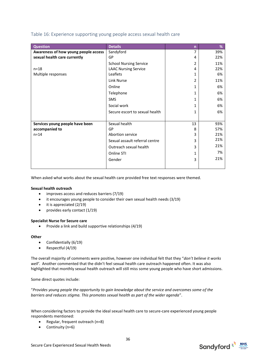## <span id="page-35-0"></span>Table 16: Experience supporting young people access sexual health care

| <b>Question</b>                      | <b>Details</b>                 | $\overline{n}$ | %   |
|--------------------------------------|--------------------------------|----------------|-----|
| Awareness of how young people access | Sandyford                      | 7              | 39% |
| sexual health care currently         | GP                             | 4              | 22% |
|                                      | <b>School Nursing Service</b>  | $\mathcal{P}$  | 11% |
| $n = 18$                             | <b>LAAC Nursing Service</b>    | 4              | 22% |
| Multiple responses                   | Leaflets                       |                | 6%  |
|                                      | Link Nurse                     | $\mathcal{P}$  | 11% |
|                                      | Online                         | 1              | 6%  |
|                                      | Telephone                      | 1              | 6%  |
|                                      | <b>SMS</b>                     | 1              | 6%  |
|                                      | Social work                    | 1              | 6%  |
|                                      | Secure escort to sexual health | 1              | 6%  |
|                                      |                                |                |     |
| Services young people have been      | Sexual health                  | 13             | 93% |
| accompanied to                       | GP                             | 8              | 57% |
| $n = 14$                             | Abortion service               | 3              | 21% |
|                                      | Sexual assault referral centre | 3              | 21% |
|                                      | Outreach sexual health         | 3              | 21% |
|                                      | Online STI                     | 1              | 7%  |
|                                      | Gender                         | 3              | 21% |
|                                      |                                |                |     |

When asked what works about the sexual health care provided free text responses were themed.

#### **Sexual health outreach**

- improves access and reduces barriers (7/19)
- it encourages young people to consider their own sexual health needs (3/19)
- it is appreciated (2/19)
- provides early contact (1/19)

#### **Specialist Nurse for Secure care**

• Provide a link and build supportive relationships (4/19)

#### **Other**

- Confidentially (6/19)
- Respectful (4/19)

The overall majority of comments were positive, however one individual felt that they "*don't believe it works well'*. Another commented that the didn't feel sexual health care outreach happened often. It was also highlighted that monthly sexual health outreach will still miss some young people who have short admissions.

Some direct quotes include:

"*Provides young people the opportunity to gain knowledge about the service and overcomes some of the barriers and reduces stigma. This promotes sexual health as part of the wider agenda*".

When considering factors to provide the ideal sexual health care to secure-care experienced young people respondents mentioned:

- Regular, frequent outreach (n=8)
- Continuity (n=6)

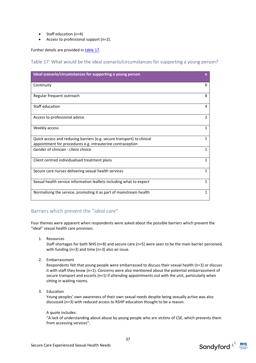- Staff education (n=4)
- Access to professional support (n=2).

Further details are provided i[n table 17.](#page-36-0)

<span id="page-36-0"></span>Table 17: What would be the ideal scenario/circumstances for supporting a young person?

| Ideal scenario/circumstances for supporting a young person                                                                           | $\mathsf{n}$ |
|--------------------------------------------------------------------------------------------------------------------------------------|--------------|
| Continuity                                                                                                                           | 6            |
| Regular frequent outreach                                                                                                            | 8            |
| Staff education                                                                                                                      | 4            |
| Access to professional advice                                                                                                        | 2            |
| Weekly access                                                                                                                        | $\mathbf{1}$ |
| Quick access and reducing barriers (e.g. secure transport) to clinical<br>appointment for procedures e.g. intrauterine contraception | 1            |
| Gender of clinician - client choice                                                                                                  | $\mathbf{1}$ |
| Client centred individualised treatment plans                                                                                        | $\mathbf{1}$ |
| Secure care nurses delivering sexual health services                                                                                 | $\mathbf{1}$ |
| Sexual health service information leaflets including what to expect                                                                  | $\mathbf{1}$ |
| Normalising the service, promoting it as part of mainstream health                                                                   | 1            |

### Barriers which prevent the "*ideal care*"

Four themes were apparent when respondents were asked about the possible barriers which prevent the "ideal" sexual health care provision.

1. Resources

Staff shortages for both NHS (n=8) and secure care (n=5) were seen to be the main barrier perceived, with funding (n=3) and time (n=3) also an issue.

2. Embarrassment

Respondents felt that young people were embarrassed to discuss their sexual health (n=3) or discuss it with staff they know (n=1). Concerns were also mentioned about the potential embarrassment of secure transport and escorts (n=1) if attending appointments out with the unit, particularly when sitting in waiting rooms.

3. Education

Young peoples' own awareness of their own sexual needs despite being sexually active was also discussed (n=3) with reduced access to RSHP education thought to be a reason.

#### A quote includes:

"A lack of understanding about abuse by young people who are victims of CSE, which prevents them from accessing services".

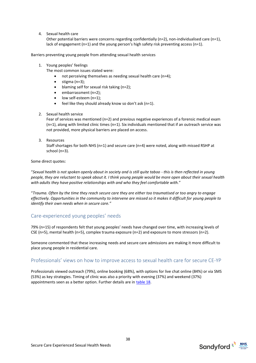4. Sexual health care

Other potential barriers were concerns regarding confidentially ( $n=2$ ), non-individualised care ( $n=1$ ), lack of engagement (n=1) and the young person's high safety risk preventing access (n=1).

Barriers preventing young people from attending sexual health services

1. Young peoples' feelings

The most common issues stated were:

- not perceiving themselves as needing sexual health care (n=4);
- stigma (n=3);
- blaming self for sexual risk taking (n=2);
- embarrassment (n=2);
- low self-esteem (n=1);
- feel like they should already know so don't ask (n=1).
- 2. Sexual health service

Fear of services was mentioned (n=2) and previous negative experiences of a forensic medical exam (n=1), along with limited clinic times (n=1). Six individuals mentioned that if an outreach service was not provided, more physical barriers are placed on access.

3. Resources

Staff shortages for both NHS (n=1) and secure care (n=4) were noted, along with missed RSHP at school (n=3).

Some direct quotes:

"*Sexual health is not spoken openly about in society and is still quite taboo - this is then reflected in young people, they are reluctant to speak about it. I think young people would be more open about their sexual health with adults they have positive relationships with and who they feel comfortable with.*"

"*Trauma. Often by the time they reach secure care they are either too traumatised or too angry to engage effectively. Opportunities in the community to intervene are missed so it makes it difficult for young people to identify their own needs when in secure care."*

#### Care-experienced young peoples' needs

79% (n=15) of respondents felt that young peoples' needs have changed over time, with increasing levels of CSE (n=5), mental health (n=5), complex trauma exposure (n=2) and exposure to more stressors (n=2).

Someone commented that these increasing needs and secure care admissions are making it more difficult to place young people in residential care.

### Professionals' views on how to improve access to sexual health care for secure CE-YP

<span id="page-37-0"></span>Professionals viewed outreach (79%), online booking (68%), with options for live chat online (84%) or via SMS (53%) as key strategies. Timing of clinic was also a priority with evening (37%) and weekend (37%) appointments seen as a better option. Further details are in [table 18.](#page-37-0)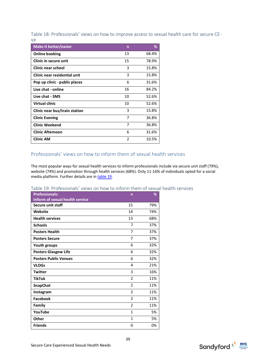Table 18: Professionals' views on how to improve access to sexual health care for secure CE-YP

| <b>Make it better/easier</b>  | n              | %     |
|-------------------------------|----------------|-------|
| <b>Online booking</b>         | 13             | 68.4% |
| Clinic in secure unit         | 15             | 78.9% |
| Clinic near school            | 3              | 15.8% |
| Clinic near residential unit  | 3              | 15.8% |
| Pop up clinic - public places | 6              | 31.6% |
| Live chat - online            | 16             | 84.2% |
| Live chat - SMS               | 10             | 52.6% |
| Virtual clinic                | 10             | 52.6% |
| Clinic near bus/train station | 3              | 15.8% |
| <b>Clinic Evening</b>         | 7              | 36.8% |
| <b>Clinic Weekend</b>         | 7              | 36.8% |
| <b>Clinic Afternoon</b>       | 6              | 31.6% |
| <b>Clinic AM</b>              | $\mathfrak{p}$ | 10.5% |

### Professionals' views on how to inform them of sexual health services

The most popular ways for sexual health services to inform professionals include via secure unit staff (79%), website (74%) and promotion through health services (68%). Only 11-16% of individuals opted for a social media platform. Further details are in [table 19.](#page-38-0)

| <b>Professionals:</b>                  | n              | %   |
|----------------------------------------|----------------|-----|
| <b>Inform of sexual health service</b> |                |     |
| <b>Secure unit staff</b>               | 15             | 79% |
| Website                                | 14             | 74% |
| <b>Health services</b>                 | 13             | 68% |
| <b>Schools</b>                         | 7              | 37% |
| <b>Posters Health</b>                  | $\overline{7}$ | 37% |
| <b>Posters Secure</b>                  | 7              | 37% |
| <b>Youth groups</b>                    | 6              | 32% |
| <b>Posters Glasgow Life</b>            | 6              | 32% |
| <b>Posters Public Venues</b>           | 6              | 32% |
| <b>VLOGs</b>                           | 4              | 21% |
| <b>Twitter</b>                         | 3              | 16% |
| <b>TikTok</b>                          | $\mathfrak{p}$ | 11% |
| SnapChat                               | $\mathfrak{p}$ | 11% |
| Instagram                              | 2              | 11% |
| <b>Facebook</b>                        | $\mathcal{P}$  | 11% |
| Family                                 | $\mathfrak{p}$ | 11% |
| YouTube                                | $\mathbf{1}$   | 5%  |
| Other                                  | $\mathbf{1}$   | 5%  |
| <b>Friends</b>                         | 0              | 0%  |

#### <span id="page-38-0"></span>Table 19: Professionals' views on how to inform them of sexual health services

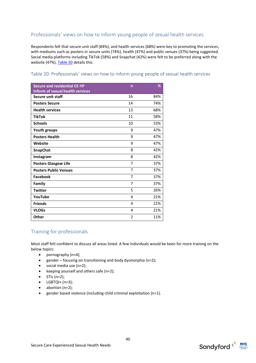# Professionals' views on how to inform young people of sexual health services

Respondents felt that secure unit staff (84%), and health services (68%) were key to promoting the services, with mediums such as posters in secure units (74%), health (47%) and public venues (37%) being suggested. Social media platforms including TikTok (58%) and Snapchat (42%) were felt to be preferred along with the website (47%)[. Table 20](#page-39-0) details this.

#### <span id="page-39-0"></span>Table 20: Professionals' views on how to inform young people of sexual health services

| <b>Secure and residential CE-YP</b>     | $\mathsf{n}$   | %   |
|-----------------------------------------|----------------|-----|
| <b>Inform of sexual health services</b> |                |     |
| <b>Secure unit staff</b>                | 16             | 84% |
| <b>Posters Secure</b>                   | 14             | 74% |
| <b>Health services</b>                  | 13             | 68% |
| <b>TikTok</b>                           | 11             | 58% |
| <b>Schools</b>                          | 10             | 53% |
| <b>Youth groups</b>                     | 9              | 47% |
| <b>Posters Health</b>                   | 9              | 47% |
| Website                                 | 9              | 47% |
| SnapChat                                | 8              | 42% |
| Instagram                               | 8              | 42% |
| <b>Posters Glasgow Life</b>             | $\overline{7}$ | 37% |
| <b>Posters Public Venues</b>            | 7              | 37% |
| <b>Facebook</b>                         | 7              | 37% |
| Family                                  | $\overline{7}$ | 37% |
| <b>Twitter</b>                          | 5              | 26% |
| YouTube                                 | 4              | 21% |
| <b>Friends</b>                          | 4              | 21% |
| <b>VLOGs</b>                            | 4              | 21% |
| <b>Other</b>                            | $\overline{2}$ | 11% |

## Training for professionals

Most staff felt confident to discuss all areas listed. A few individuals would be keen for more training on the below topics:

- pornography (n=4);
- gender focusing on transitioning and body dysmorphia (n=2);
- social media use (n=2);
- keeping yourself and others safe (n=2);
- $\bullet$  STIs (n=2);
- $\bullet$  LGBTQI+ (n=3);
- abortion (n=2);
- gender based violence (including child criminal exploitation (n=1).

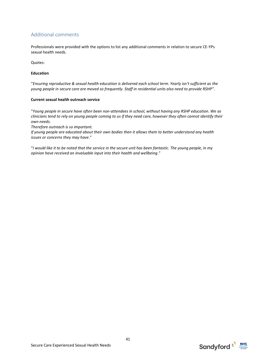# Additional comments

Professionals were provided with the options to list any additional comments in relation to secure CE-YPs sexual health needs.

Quotes:

#### **Education**

"*Ensuring reproductive & sexual health education is delivered each school term. Yearly isn't sufficient as the young people in secure care are moved so frequently. Staff in residential units also need to provide RSHP*".

#### **Current sexual health outreach service**

"*Young people in secure have often been non-attendees in school, without having any RSHP education. We as clinicians tend to rely on young people coming to us if they need care, however they often cannot identify their own needs.* 

*Therefore outreach is so important.* 

*If young people are educated about their own bodies then it allows them to better understand any health issues or concerns they may have*."

"*I would like it to be noted that the service in the secure unit has been fantastic. The young people, in my opinion have received an invaluable input into their health and wellbeing*."

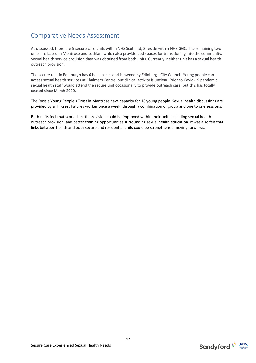# Comparative Needs Assessment

As discussed, there are 5 secure care units within NHS Scotland, 3 reside within NHS GGC. The remaining two units are based in Montrose and Lothian, which also provide bed spaces for transitioning into the community. Sexual health service provision data was obtained from both units. Currently, neither unit has a sexual health outreach provision.

The secure unit in Edinburgh has 6 bed spaces and is owned by Edinburgh City Council. Young people can access sexual health services at Chalmers Centre, but clinical activity is unclear. Prior to Covid-19 pandemic sexual health staff would attend the secure unit occasionally to provide outreach care, but this has totally ceased since March 2020.

The Rossie Young People's Trust in Montrose have capacity for 18 young people. Sexual health discussions are provided by a Hillcrest Futures worker once a week, through a combination of group and one to one sessions.

Both units feel that sexual health provision could be improved within their units including sexual health outreach provision, and better training opportunities surrounding sexual health education. It was also felt that links between health and both secure and residential units could be strengthened moving forwards.

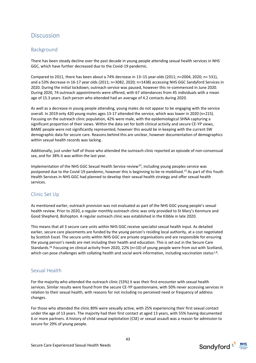# Discussion

## Background

There has been steady decline over the past decade in young people attending sexual health services in NHS GGC, which have further decreased due to the Covid-19 pandemic.

Compared to 2011, there has been about a 74% decrease in 13–15 year-olds (2011; n=2004, 2020; n= 531), and a 53% decrease in 16-17 year olds (2011; n=3082, 2020; n=1438) accessing NHS GGC Sandyford Services in 2020. During the initial lockdown, outreach service was paused, however this re-commenced in June 2020. During 2020, 74 outreach appointments were offered, with 67 attendances from 45 individuals with a mean age of 15.3 years. Each person who attended had an average of 4.2 contacts during 2020.

As well as a decrease in young people attending, young males do not appear to be engaging with the service overall. In 2019 only 420 young males ages 13-17 attended the service, which was lower in 2020 (n=215). Focusing on the outreach clinic population, 42% were male, with the epidemiological SHNA capturing a significant proportion of their views. Within the data set for both clinical activity and secure CE-YP views, BAME people were not significantly represented, however this would be in keeping with the current SW demographic data for secure care. Reasons behind this are unclear, however documentation of demographics within sexual health records was lacking.

Additionally, just under half of those who attended the outreach clinic reported an episode of non-consensual sex, and for 38% it was within the last year.

Implementation of the NHS GGC Sexual Health Service review<sup>23</sup>, including young peoples service was postponed due to the Covid-19 pandemic, however this is beginning to be re-mobilised.<sup>13</sup> As part of this Youth Health Services in NHS GGC had planned to develop their sexual health strategy and offer sexual health services.

## Clinic Set Up

As mentioned earlier, outreach provision was not evaluated as part of the NHS GGC young people's sexual health review. Prior to 2020, a regular monthly outreach clinic was only provided to St Mary's Kenmure and Good Shepherd, Bishopton. A regular outreach clinic was established in the Kibble in late 2020.

This means that all 3 secure care units within NHS GGC receive specialist sexual health input. As detailed earlier, secure care placements are funded by the young person's residing local authority, at a cost negotiated by Scottish Excel. The secure units within NHS GGC are private organisations and are responsible for ensuring the young person's needs are met including their health and education. This is set out in the Secure Care Standards.<sup>16</sup> Focusing on clinical activity from 2020, 22% (n=10) of young people were from out with Scotland, which can pose challenges with collating health and social work information, including vaccination status<sup>1,8</sup>.

### Sexual Health

For the majority who attended the outreach clinic (53%) it was their first encounter with sexual health services. Similar results were found from the secure CE-YP questionnaire, with 50% never accessing services in relation to their sexual health, with reasons for not including no perceived need or frequency of address changes.

For those who attended the clinic 89% were sexually active, with 25% experiencing their first sexual contact under the age of 13 years. The majority had their first contact at aged 13 years, with 55% having documented 6 or more partners. A history of child sexual exploitation (CSE) or sexual assault was a reason for admission to secure for 29% of young people.

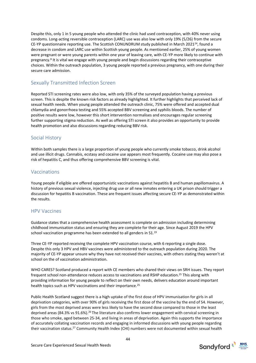Despite this, only 1 in 5 young people who attended the clinic had used contraception, with 40% never using condoms. Long-acting reversible contraception (LARC) use was also low with only 19% (5/26) from the secure CE-YP questionnaire reporting use. The Scottish CONUNDRUM study published in March 2021<sup>24</sup>, found a decrease in condom and LARC use within Scottish young people. As mentioned earlier, 25% of young women were pregnant or were young parents within one year of leaving care, with CE-YP more likely to continue with pregnancy.<sup>8</sup> It is vital we engage with young people and begin discussions regarding their contraceptive choices. Within the outreach population, 3 young people reported a previous pregnancy, with one during their secure care admission.

### Sexually Transmitted Infection Screen

Reported STI screening rates were also low, with only 35% of the surveyed population having a previous screen. This is despite the known risk factors as already highlighted. It further highlights that perceived lack of sexual health needs. When young people attended the outreach clinic, 75% were offered and accepted dual chlamydia and gonorrhoea testing and 55% accepted BBV screening and syphilis bloods. The number of positive results were low, however this short intervention normalises and encourages regular screening further supporting stigma reduction. As well as offering STI screen it also provides an opportunity to provide health promotion and also discussions regarding reducing BBV risk.

#### Social History

Within both samples there is a large proportion of young people who currently smoke tobacco, drink alcohol and use illicit drugs. Cannabis, ecstasy and cocaine use appears most frequently. Cocaine use may also pose a risk of hepatitis C, and thus offering comprehensive BBV screening is vital.

#### Vaccinations

Young people if eligible are offered opportunistic vaccinations against hepatitis B and human papillomavirus. A history of previous sexual violence, injecting drug use or all new inmates entering a UK prison should trigger a discussion for hepatitis B vaccination. These are frequent issues affecting secure CE-YP as demonstrated within the results.

#### HPV Vaccines

Guidance states that a comprehensive health assessment is complete on admission including determining childhood immunisation status and ensuring they are complete for their age. Since August 2019 the HPV school vaccination programme has been extended to all genders in S1.<sup>19</sup>

Three CE-YP reported receiving the complete HPV vaccination course, with 6 reporting a single dose. Despite this only 3 HPV and HBV vaccines were administered to the outreach population during 2020. The majority of CE-YP appear unsure why they have not received their vaccines, with others stating they weren't at school on the of vaccination administration.

WHO CARES? Scotland produced a report with CE members who shared their views on SRH issues. They report frequent school non-attendance reduces access to vaccinations and RSHP education. <sup>25</sup> This along with providing information for young people to reflect on their own needs, delivers education around important health topics such as HPV vaccinations and their importance.<sup>25</sup>

Public Health Scotland suggest there is a high uptake of the first dose of HPV immunisation for girls in all deprivation categories, with over 90% of girls receiving the first dose of the vaccine by the end of S4. However, girls from the most deprived areas were less likely to have the second dose compared to those in the least deprived areas (84.3% vs 91.6%).<sup>26</sup> The literature also confirms lower engagement with cervical screening in those who smoke, aged between 25-34, and living in areas of deprivation. Again this supports the importance of accurately collating vaccination records and engaging in informed discussions with young people regarding their vaccination status.<sup>27</sup> Community Health Index (CHI) numbers were not documented within sexual health

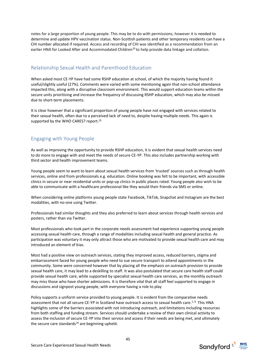notes for a large proportion of young people. This may be to do with permissions; however it is needed to determine and update HPV vaccination status. Non-Scottish patients and other temporary residents can have a CHI number allocated if required. Access and recording of CHI was identified as a recommendation from an earlier HNA for Looked After and Accommodated Children<sup>20</sup> to help provide data linkage and collation.

### Relationship Sexual Health and Parenthood Education

When asked most CE-YP have had some RSHP education at school, of which the majority having found it useful/slightly useful (27%). Comments were varied with some mentioning again that non-school attendance impacted this, along with a disruptive classroom environment. This would support education teams within the secure units prioritising and increase the frequency of discussing RSHP education, which may also be missed due to short-term placements.

It is clear however that a significant proportion of young people have not engaged with services related to their sexual health, often due to a perceived lack of need to, despite having multiple needs. This again is supported by the WHO CARES? report.<sup>25</sup>

## Engaging with Young People

As well as improving the opportunity to provide RSHP education, it is evident that sexual health services need to do more to engage with and meet the needs of secure CE-YP. This also includes partnership working with third sector and health improvement teams.

Young people seem to want to learn about sexual health services from 'trusted' sources such as through health services, online and from professionals e.g. education. Online booking was felt to be important, with accessible clinics in secure or near residential units or pop-up clinics in public places rated. Young people also wish to be able to communicate with a healthcare professional like they would their friends via SMS or online.

When considering online platforms young people state Facebook, TikTok, Snapchat and Instagram are the best modalities, with no-one using Twitter.

Professionals had similar thoughts and they also preferred to learn about services through health services and posters, rather than via Twitter.

Most professionals who took part in the corporate needs assessment had experience supporting young people accessing sexual health care, through a range of modalities including sexual health and general practice. As participation was voluntary it may only attract those who are motivated to provide sexual health care and may introduced an element of bias.

Most had a positive view on outreach services, stating they improved access, reduced barriers, stigma and embarrassment faced for young people who need to sue secure transport to attend appointments in the community. Some were concerned however that by placing all the emphasis on outreach provision to provide sexual health care, it may lead to a deskilling to staff. It was also postulated that secure care health staff could provide sexual health care, while supported by specialist sexual health care services, as the monthly outreach may miss those who have shorter admissions. It is therefore vital that all staff feel supported to engage in discussions and signpost young people, with everyone having a role to play

Policy supports a uniform service provided to young people. It is evident from the comparative needs assessment that not all secure CE-YP in Scotland have outreach access to sexual health care.<sup>1,8</sup> This HNA highlights some of the barriers associated with not introducing outreach, and limitations including resources from both staffing and funding stream. Services should undertake a review of their own clinical activity to assess the inclusion of secure CE-YP into their service and assess if their needs are being met, and ultimately the secure care standards $16$  are beginning upheld.

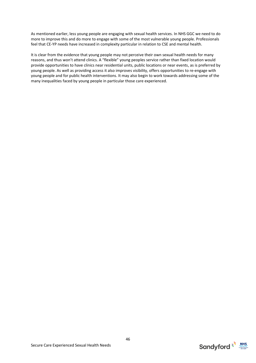As mentioned earlier, less young people are engaging with sexual health services. In NHS GGC we need to do more to improve this and do more to engage with some of the most vulnerable young people. Professionals feel that CE-YP needs have increased in complexity particular in relation to CSE and mental health.

It is clear from the evidence that young people may not perceive their own sexual health needs for many reasons, and thus won't attend clinics. A "flexible" young peoples service rather than fixed location would provide opportunities to have clinics near residential units, public locations or near events, as is preferred by young people. As well as providing access it also improves visibility, offers opportunities to re-engage with young people and for public health interventions. It may also begin to work towards addressing some of the many inequalities faced by young people in particular those care experienced.



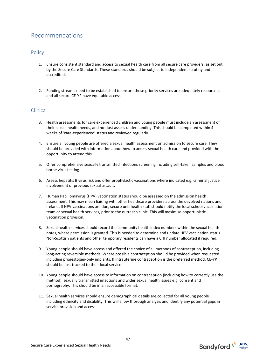# Recommendations

### **Policy**

- 1. Ensure consistent standard and access to sexual health care from all secure care providers, as set out by the Secure Care Standards. These standards should be subject to independent scrutiny and accredited.
- 2. Funding streams need to be established to ensure these priority services are adequately resourced, and all secure CE-YP have equitable access.

### Clinical

- 3. Health assessments for care experienced children and young people must include an assessment of their sexual health needs, and not just assess understanding. This should be completed within 4 weeks of 'care-experienced' status and reviewed regularly.
- 4. Ensure all young people are offered a sexual health assessment on admission to secure care. They should be provided with information about how to access sexual health care and provided with the opportunity to attend this.
- 5. Offer comprehensive sexually transmitted infections screening including self-taken samples and blood borne virus testing.
- 6. Assess hepatitis B virus risk and offer prophylactic vaccinations where indicated e.g. criminal justice involvement or previous sexual assault.
- 7. Human Papillomavirus (HPV) vaccination status should be assessed on the admission health assessment. This may mean liaising with other healthcare providers across the devolved nations and Ireland. If HPV vaccinations are due, secure unit health staff should notify the local school vaccination team or sexual health services, prior to the outreach clinic. This will maximise opportunistic vaccination provision.
- 8. Sexual health services should record the community health index numbers within the sexual health notes, where permission is granted. This is needed to determine and update HPV vaccination status. Non-Scottish patients and other temporary residents can have a CHI number allocated if required.
- 9. Young people should have access and offered the choice of all methods of contraception, including long-acting reversible methods. Where possible contraception should be provided when requested including progestogen-only implants. If intrauterine contraception is the preferred method, CE-YP should be fast tracked to their local service.
- 10. Young people should have access to information on contraception (including how to correctly use the method), sexually transmitted infections and wider sexual health issues e.g. consent and pornography. This should be in an accessible format.
- 11. Sexual health services should ensure demographical details are collected for all young people including ethnicity and disability. This will allow thorough analysis and identify any potential gaps in service provision and access.



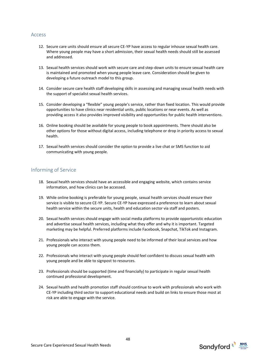#### Access

- 12. Secure care units should ensure all secure CE-YP have access to regular inhouse sexual health care. Where young people may have a short admission, their sexual health needs should still be assessed and addressed.
- 13. Sexual health services should work with secure care and step-down units to ensure sexual health care is maintained and promoted when young people leave care. Consideration should be given to developing a future outreach model to this group.
- 14. Consider secure care health staff developing skills in assessing and managing sexual health needs with the support of specialist sexual health services.
- 15. Consider developing a "flexible" young people's service, rather than fixed location. This would provide opportunities to have clinics near residential units, public locations or near events. As well as providing access it also provides improved visibility and opportunities for public health interventions.
- 16. Online booking should be available for young people to book appointments. There should also be other options for those without digital access, including telephone or drop in priority access to sexual health.
- 17. Sexual health services should consider the option to provide a live chat or SMS function to aid communicating with young people.

### Informing of Service

- 18. Sexual health services should have an accessible and engaging website, which contains service information, and how clinics can be accessed.
- 19. While online booking is preferable for young people, sexual health services should ensure their service is visible to secure CE-YP. Secure CE-YP have expressed a preference to learn about sexual health service within the secure units, health and education sector via staff and posters.
- 20. Sexual health services should engage with social media platforms to provide opportunistic education and advertise sexual health services, including what they offer and why it is important. Targeted marketing may be helpful. Preferred platforms include Facebook, Snapchat, TikTok and Instagram.
- 21. Professionals who interact with young people need to be informed of their local services and how young people can access them.
- 22. Professionals who interact with young people should feel confident to discuss sexual health with young people and be able to signpost to resources.
- 23. Professionals should be supported (time and financially) to participate in regular sexual health continued professional development.
- 24. Sexual health and health promotion staff should continue to work with professionals who work with CE-YP including third sector to support educational needs and build on links to ensure those most at risk are able to engage with the service.

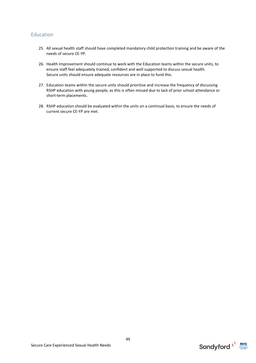## Education

- 25. All sexual health staff should have completed mandatory child protection training and be aware of the needs of secure CE-YP.
- 26. Health Improvement should continue to work with the Education teams within the secure units, to ensure staff feel adequately trained, confident and well supported to discuss sexual health. Secure units should ensure adequate resources are in place to fund this.
- 27. Education teams within the secure units should prioritise and increase the frequency of discussing RSHP education with young people, as this is often missed due to lack of prior school attendance or short-term placements.
- 28. RSHP education should be evaluated within the units on a continual basis, to ensure the needs of current secure CE-YP are met.

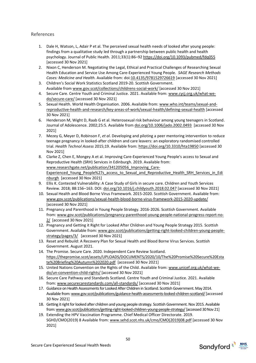### References

- 1. Dale H, Watson, L, Adair P et al. The perceived sexual health needs of looked after young people: findings from a qualitative study led through a partnership between public health and health psychology. Journal of Public Health. 2011;33(1):86–92<https://doi.org/10.1093/pubmed/fdq055> [accessed 30 Nov 2021]
- 2. Nixon C, Henderson M. Negotiating the Legal, Ethical and Practical Challenges of Researching Sexual Health Education and Service Use Among Care-Experienced Young People. *SAGE Research Methods Cases: Medicine and Health.* Available from: doi[:10.4135/9781529726619](http://dx.doi.org/10.4135/9781529726619) [accessed 30 Nov 2021]
- 3. Children's Social Work Statistics Scotland 2019-20. Scottish Government. Available from [www.gov.scot/collections/childrens-social-work/](http://www.gov.scot/collections/childrens-social-work/) [accessed 30 Nov 2021]
- 4. Secure Care. Centre Youth and Criminal Justice. 2021. Available from[: www.cycj.org.uk/what-we](http://www.cycj.org.uk/what-we-do/secure-care/)[do/secure-care/](http://www.cycj.org.uk/what-we-do/secure-care/) [accessed 30 Nov 2021]
- 5. Sexual Health. World Health Organisation. 2006. Available from[: www.who.int/teams/sexual-and](http://www.who.int/teams/sexual-and-reproductive-health-and-research/key-areas-of-work/sexual-health/defining-sexual-health)[reproductive-health-and-research/key-areas-of-work/sexual-health/defining-sexual-health](http://www.who.int/teams/sexual-and-reproductive-health-and-research/key-areas-of-work/sexual-health/defining-sexual-health) [accessed 30 Nov 2021]
- 6. Henderson M, Wight D, Raab G et al. Heterosexual risk behaviour among young teenagers in Scotland. Journal of Adolescence. 2002;25:5. Available from [doi.org/10.1006/jado.2002.0493](http://doi.org/10.1006/jado.2002.0493) [accessed 30 Nov 2021]
- 7. Mezey G, Meyer D, Robinson F, *et al*. Developing and piloting a peer mentoring intervention to reduce teenage pregnancy in looked-after children and care leavers: an exploratory randomised controlled trial. *Health Technol Assess* 2015;19. Available from:<https://doi.org/10.3310/hta19850> [accessed 30 Nov 2021]
- 8. Clarke Z, Chen E, Mongey A et al. Improving Care-Experienced Young People's access to Sexual and Reproductive Health (SRH) Services in Edinburgh. 2019. Available from: [www.researchgate.net/publication/341205056\\_Improving\\_Care-](http://www.researchgate.net/publication/341205056_Improving_Care-Experienced_Young_People%27s_access_to_Sexual_and_Reproductive_Health_SRH_Services_in_Edinburgh)Experienced Young People%27s access to Sexual and Reproductive Health SRH Services in Edi [nburgh](http://www.researchgate.net/publication/341205056_Improving_Care-Experienced_Young_People%27s_access_to_Sexual_and_Reproductive_Health_SRH_Services_in_Edinburgh) [accessed 30 Nov 2021]
- 9. Ellis K. Contested Vulnerability: A Case Study of Girls in secure care. Children and Youth Services Review. 2018; 88:156–163. DOI[: doi.org/10.1016/j.childyouth.2018.02.047](https://doi.org/10.1016/j.childyouth.2018.02.047) [accessed 30 Nov 2021]
- 10. Sexual Health and Blood Borne Virus Framework. 2015-2020. Scottish Government. Available from: [www.gov.scot/publications/sexual-health-blood-borne-virus-framework-2015-2020-update/](http://www.gov.scot/publications/sexual-health-blood-borne-virus-framework-2015-2020-update/)  [accessed 30 Nov 2021]
- 11. Pregnancy and Parenthood in Young People Strategy. 2016-2026. Scottish Government. Available from: [www.gov.scot/publications/pregnancy-parenthood-young-people-national-progress-report-no-](http://www.gov.scot/publications/pregnancy-parenthood-young-people-national-progress-report-no-2/)[2/](http://www.gov.scot/publications/pregnancy-parenthood-young-people-national-progress-report-no-2/) [accessed 30 Nov 2021]
- 12. Pregnancy and Getting it Right for Looked After Children and Young People Strategy 2015. Scottish Government. Available from: [www.gov.scot/publications/getting-right-looked-children-young-people](http://www.gov.scot/publications/getting-right-looked-children-young-people-strategy/pages/3/)[strategy/pages/3/](http://www.gov.scot/publications/getting-right-looked-children-young-people-strategy/pages/3/) [accessed 30 Nov 2021]
- 13. Reset and Rebuild: A Recovery Plan for Sexual Health and Blood Borne Virus Services. Scottish Government. August 2021.
- 14. The Promise. Secure Care. 2020. Independent Care Review Scotland. [https://thepromise.scot/assets/UPLOADS/DOCUMENTS/2020/10/The%20Promise%20Secure%20Esta](https://thepromise.scot/assets/UPLOADS/DOCUMENTS/2020/10/The%20Promise%20Secure%20Estate%20Briefing%20Autumn%202020.pdf) [te%20Briefing%20Autumn%202020.pdf](https://thepromise.scot/assets/UPLOADS/DOCUMENTS/2020/10/The%20Promise%20Secure%20Estate%20Briefing%20Autumn%202020.pdf) [accessed 30 Nov 2021]
- 15. United Nations Convention on the Rights of the Child. Available from: [www.unicef.org.uk/what-we](http://www.unicef.org.uk/what-we-do/un-convention-child-rights/)[do/un-convention-child-rights/](http://www.unicef.org.uk/what-we-do/un-convention-child-rights/) [accessed 30 Nov 2021]
- 16. Secure Care Pathway and Standards Scotland. Centre Youth and Criminal Justice. 2021. Available from[: www.securecarestandards.com/all-standards/](http://www.securecarestandards.com/all-standards/) [accessed 30 Nov 2021]
- 17. Guidance on Health Assessments for Looked After Children in Scotland. Scottish Government. May 2014. Available from: www.gov.scot/publications/guidance-health-assessments-looked-children-scotland/ [accessed 30 Nov 2021]
- 18. Getting it right for looked after children and young people strategy. Scottish Government. Nov 2015. Available from[: www.gov.scot/publications/getting-right-looked-children-young-people-strategy/\[](http://www.gov.scot/publications/getting-right-looked-children-young-people-strategy/)accessed 30 Nov 21]
- 19. Extending the HPV Vaccination Programme. Chief Medical Officer Directorate. 2019. SGHD/CMO(2019) 8 Available from[: www.sehd.scot.nhs.uk/cmo/CMO\(2019\)08.pdf](http://www.sehd.scot.nhs.uk/cmo/CMO(2019)08.pdf) [accessed 30 Nov 2021]

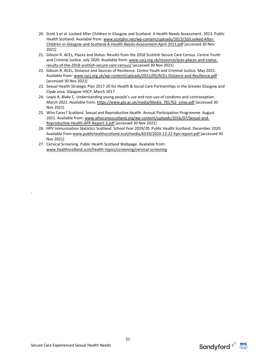- 20. Scott S et al. Looked After Children in Glasgow and Scotland: A Health Needs Assessment. 2013. Public Health Scotland. Available from: [www.scotphn.net/wp-content/uploads/2015/10/Looked-After-](http://www.scotphn.net/wp-content/uploads/2015/10/Looked-After-Children-in-Glasgow-and-Scotland-A-Health-Needs-Assessment-April-2013.pdf)[Children-in-Glasgow-and-Scotland-A-Health-Needs-Assessment-April-2013.pdf](http://www.scotphn.net/wp-content/uploads/2015/10/Looked-After-Children-in-Glasgow-and-Scotland-A-Health-Needs-Assessment-April-2013.pdf) [accessed 30 Nov 2021]
- 21. Gibson R. ACEs, Places and Status: Results from the 2018 Scottish Secure Care Census. Centre Youth and Criminal Justice. July 2020. Available from: [www.cycj.org.uk/resource/aces-places-and-status](http://www.cycj.org.uk/resource/aces-places-and-status-results-of-the-2018-scottish-secure-care-census/)[results-of-the-2018-scottish-secure-care-census/](http://www.cycj.org.uk/resource/aces-places-and-status-results-of-the-2018-scottish-secure-care-census/) [accessed 30 Nov 2021]
- 22. Gibson R. ACEs, Distance and Sources of Resilience. Centre Youth and Criminal Justice. May 2021. Available from: [www.cycj.org.uk/wp-content/uploads/2021/05/ACEs-Distance-and-Resilience.pdf](http://www.cycj.org.uk/wp-content/uploads/2021/05/ACEs-Distance-and-Resilience.pdf) [accessed 30 Nov 2021]
- 23. Sexual Health Strategic Plan 2017-20 for Health & Social Care Partnerships in the Greater Glasgow and Clyde area. Glasgow HSCP. March 2017
- 24. Lewis R, Blake C. Understanding young people's use and non-use of condoms and contraception. March 2021. Available from[: https://www.gla.ac.uk/media/Media\\_781762\\_smxx.pdf](https://www.gla.ac.uk/media/Media_781762_smxx.pdf) [accessed 30 Nov 2021]
- 25. Who Cares? Scotland. Sexual and Reproductive Health. Annual Participation Programme. August 2021. Available from: [www.whocaresscotland.org/wp-content/uploads/2016/07/Sexual-and-](http://www.whocaresscotland.org/wp-content/uploads/2016/07/Sexual-and-Reproductive-Health-APP-Report-3.pdf)[Reproductive-Health-APP-Report-3.pdf](http://www.whocaresscotland.org/wp-content/uploads/2016/07/Sexual-and-Reproductive-Health-APP-Report-3.pdf) [accessed 30 Nov 2021]
- 26. HPV Immunisation Statistics Scotland. School Year 2019/20. Public Health Scotland. December 2020. Available from [www.publichealthscotland.scot/media/6559/2020-12-22-hpv-report.pdf](http://www.publichealthscotland.scot/media/6559/2020-12-22-hpv-report.pdf) [accessed 30 Nov 2021]
- 27. Cervical Screening. Public Health Scotland Webpage. Available from: [www.healthscotland.scot/health-topics/screening/cervical-screening](http://www.healthscotland.scot/health-topics/screening/cervical-screening)

.

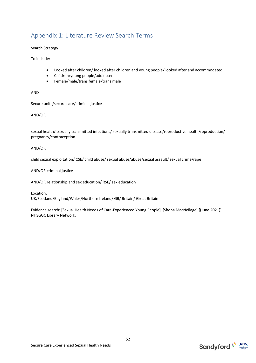# Appendix 1: Literature Review Search Terms

#### Search Strategy

To include:

- Looked after children/ looked after children and young people/ looked after and accommodated
- Children/young people/adolescent
- Female/male/trans female/trans male

AND

Secure units/secure care/criminal justice

AND/OR

sexual health/ sexually transmitted infections/ sexually transmitted disease/reproductive health/reproduction/ pregnancy/contraception

#### AND/OR

child sexual exploitation/ CSE/ child abuse/ sexual abuse/abuse/sexual assault/ sexual crime/rape

AND/OR criminal justice

AND/OR relationship and sex education/ RSE/ sex education

Location: UK/Scotland/England/Wales/Northern Ireland/ GB/ Britain/ Great Britain

Evidence search: [Sexual Health Needs of Care-Experienced Young People]. [Shona MacNeilage] [(June 2021)]. NHSGGC Library Network.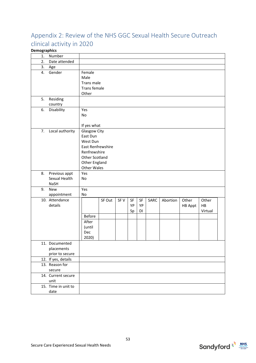# Appendix 2: Review of the NHS GGC Sexual Health Secure Outreach clinical activity in 2020

## **Demographics**

| 1. | Number                         |                    |        |      |    |    |      |          |                |         |  |
|----|--------------------------------|--------------------|--------|------|----|----|------|----------|----------------|---------|--|
| 2. | Date attended                  |                    |        |      |    |    |      |          |                |         |  |
| 3. | Age                            |                    |        |      |    |    |      |          |                |         |  |
| 4. | Gender                         | Female             |        |      |    |    |      |          |                |         |  |
|    |                                | Male               |        |      |    |    |      |          |                |         |  |
|    |                                | Trans male         |        |      |    |    |      |          |                |         |  |
|    |                                | Trans female       |        |      |    |    |      |          |                |         |  |
|    |                                | Other              |        |      |    |    |      |          |                |         |  |
| 5. | Residing                       |                    |        |      |    |    |      |          |                |         |  |
|    | country                        |                    |        |      |    |    |      |          |                |         |  |
| 6. | Disability                     | Yes                |        |      |    |    |      |          |                |         |  |
|    |                                | No                 |        |      |    |    |      |          |                |         |  |
|    |                                |                    |        |      |    |    |      |          |                |         |  |
|    |                                | If yes what        |        |      |    |    |      |          |                |         |  |
| 7. | Local authority                | Glasgow City       |        |      |    |    |      |          |                |         |  |
|    |                                | East Dun           |        |      |    |    |      |          |                |         |  |
|    |                                | West Dun           |        |      |    |    |      |          |                |         |  |
|    |                                | East Renfrewshire  |        |      |    |    |      |          |                |         |  |
|    |                                | Renfrewshire       |        |      |    |    |      |          |                |         |  |
|    |                                | Other Scotland     |        |      |    |    |      |          |                |         |  |
|    |                                | Other England      |        |      |    |    |      |          |                |         |  |
|    |                                | <b>Other Wales</b> |        |      |    |    |      |          |                |         |  |
| 8. | Previous appt<br>Sexual Health | Yes<br>No          |        |      |    |    |      |          |                |         |  |
|    | <b>NaSH</b>                    |                    |        |      |    |    |      |          |                |         |  |
| 9. | New                            | Yes                |        |      |    |    |      |          |                |         |  |
|    | appointment                    | No                 |        |      |    |    |      |          |                |         |  |
|    | 10. Attendance                 |                    | SF Out | SF V | SF | SF | SARC | Abortion | Other          | Other   |  |
|    | details                        |                    |        |      | YP | YP |      |          | <b>HB Appt</b> | HB      |  |
|    |                                |                    |        |      | Sp | DI |      |          |                | Virtual |  |
|    |                                | <b>Before</b>      |        |      |    |    |      |          |                |         |  |
|    |                                | After              |        |      |    |    |      |          |                |         |  |
|    |                                | (until             |        |      |    |    |      |          |                |         |  |
|    |                                | Dec                |        |      |    |    |      |          |                |         |  |
|    |                                | 2020)              |        |      |    |    |      |          |                |         |  |
|    | 11. Documented                 |                    |        |      |    |    |      |          |                |         |  |
|    | placements                     |                    |        |      |    |    |      |          |                |         |  |
|    | prior to secure                |                    |        |      |    |    |      |          |                |         |  |
|    | 12. If yes, details            |                    |        |      |    |    |      |          |                |         |  |
|    | 13. Reason for                 |                    |        |      |    |    |      |          |                |         |  |
|    | secure                         |                    |        |      |    |    |      |          |                |         |  |
|    | 14. Current secure             |                    |        |      |    |    |      |          |                |         |  |
|    | unit                           |                    |        |      |    |    |      |          |                |         |  |
|    | 15. Time in unit to            |                    |        |      |    |    |      |          |                |         |  |
|    | date                           |                    |        |      |    |    |      |          |                |         |  |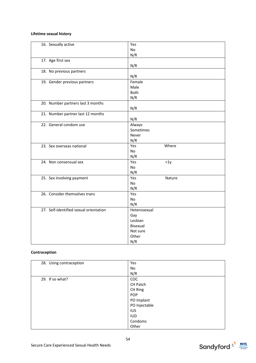#### **Lifetime sexual history**

| 16. Sexually active                    | Yes           |
|----------------------------------------|---------------|
|                                        | No            |
|                                        | N/R           |
| 17. Age first sex                      |               |
|                                        | N/R           |
| 18. No previous partners               |               |
|                                        | N/R           |
| 19. Gender previous partners           | Female        |
|                                        | Male          |
|                                        | Both          |
|                                        | N/R           |
| 20. Number partners last 3 months      |               |
|                                        | N/R           |
| 21. Number partner last 12 months      |               |
|                                        | N/R           |
| 22. General condom use                 | Always        |
|                                        | Sometimes     |
|                                        | Never         |
|                                        | N/R           |
| 23. Sex overseas national              | Yes<br>Where  |
|                                        | No            |
|                                        | N/R           |
| 24. Non consensual sex                 | $1y$<br>Yes   |
|                                        | No            |
|                                        | N/R           |
| 25. Sex involving payment              | Yes<br>Nature |
|                                        | No            |
|                                        | N/R           |
| 26. Consider themselves trans          | Yes           |
|                                        | No            |
|                                        | N/R           |
| 27. Self-identified sexual orientation | Heterosexual  |
|                                        | Gay           |
|                                        | Lesbian       |
|                                        | Bisexual      |
|                                        | Not sure      |
|                                        | Other         |
|                                        | N/R           |

#### **Contraception**

| 28. Using contraception | Yes           |
|-------------------------|---------------|
|                         | No            |
|                         | N/R           |
| 29. If so what?         | COC           |
|                         | CH Patch      |
|                         | CH Ring       |
|                         | <b>POP</b>    |
|                         | PO Implant    |
|                         | PO Injectable |
|                         | <b>IUS</b>    |
|                         | <b>IUD</b>    |
|                         | Condoms       |
|                         | Other         |



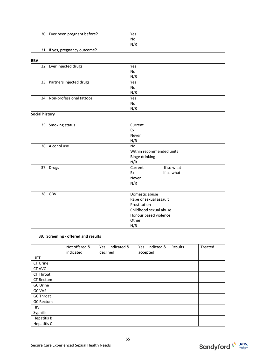| 30. Ever been pregnant before? | Yes |
|--------------------------------|-----|
|                                | No  |
|                                | N/R |
| 31. If yes, pregnancy outcome? |     |

#### **BBV**

| 32. Ever injected drugs      | Yes       |
|------------------------------|-----------|
|                              | No        |
|                              | N/R       |
| 33. Partners injected drugs  | Yes       |
|                              | <b>No</b> |
|                              | N/R       |
| 34. Non-professional tattoos | Yes       |
|                              | No        |
|                              | N/R       |

#### **Social history**

| 35. Smoking status | Current                  |  |  |  |
|--------------------|--------------------------|--|--|--|
|                    | Ex                       |  |  |  |
|                    | Never                    |  |  |  |
|                    | N/R                      |  |  |  |
| 36. Alcohol use    | <b>No</b>                |  |  |  |
|                    | Within recommended units |  |  |  |
|                    | Binge drinking           |  |  |  |
|                    | N/R                      |  |  |  |
| 37. Drugs          | If so what<br>Current    |  |  |  |
|                    | If so what<br>Ex         |  |  |  |
|                    | Never                    |  |  |  |
|                    | N/R                      |  |  |  |
|                    |                          |  |  |  |
| 38. GBV            | Domestic abuse           |  |  |  |
|                    | Rape or sexual assault   |  |  |  |
|                    | Prostitution             |  |  |  |
|                    | Childhood sexual abuse   |  |  |  |
|                    | Honour based violence    |  |  |  |
|                    | Other                    |  |  |  |
|                    | N/R                      |  |  |  |

#### 39. **Screening - offered and results**

|                    | Not offered &<br>indicated | $Yes - indicated &$<br>declined | Yes - indicted &<br>accepted | Results | Treated |
|--------------------|----------------------------|---------------------------------|------------------------------|---------|---------|
| <b>UPT</b>         |                            |                                 |                              |         |         |
| CT Urine           |                            |                                 |                              |         |         |
| CT VVC             |                            |                                 |                              |         |         |
| CT Throat          |                            |                                 |                              |         |         |
| CT Rectum          |                            |                                 |                              |         |         |
| <b>GC Urine</b>    |                            |                                 |                              |         |         |
| <b>GC VVS</b>      |                            |                                 |                              |         |         |
| <b>GC Throat</b>   |                            |                                 |                              |         |         |
| <b>GC Rectum</b>   |                            |                                 |                              |         |         |
| HIV                |                            |                                 |                              |         |         |
| Syphilis           |                            |                                 |                              |         |         |
| <b>Hepatitis B</b> |                            |                                 |                              |         |         |
| Hepatitis C        |                            |                                 |                              |         |         |

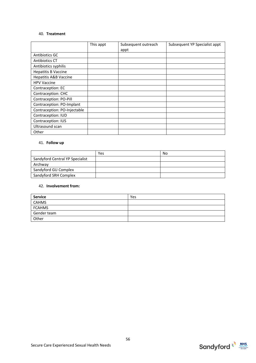#### 40. **Treatment**

|                                  | This appt | Subsequent outreach | Subsequent YP Specialist appt |
|----------------------------------|-----------|---------------------|-------------------------------|
|                                  |           | appt                |                               |
| Antibiotics GC                   |           |                     |                               |
| Antibiotics CT                   |           |                     |                               |
| Antibiotics syphilis             |           |                     |                               |
| <b>Hepatitis B Vaccine</b>       |           |                     |                               |
| <b>Hepatitis A&amp;B Vaccine</b> |           |                     |                               |
| <b>HPV Vaccine</b>               |           |                     |                               |
| Contraception: EC                |           |                     |                               |
| Contraception: CHC               |           |                     |                               |
| Contraception: PO-Pill           |           |                     |                               |
| Contraception: PO-Implant        |           |                     |                               |
| Contraception: PO-Injectable     |           |                     |                               |
| Contraception: IUD               |           |                     |                               |
| Contraception: IUS               |           |                     |                               |
| Ultrasound scan                  |           |                     |                               |
| Other                            |           |                     |                               |

#### 41. **Follow up**

|                                 | Yes | No |
|---------------------------------|-----|----|
| Sandyford Central YP Specialist |     |    |
| Archway                         |     |    |
| Sandyford GU Complex            |     |    |
| Sandyford SRH Complex           |     |    |

#### 42. **Involvement from:**

| <b>Service</b> | Yes |
|----------------|-----|
| <b>CAHMS</b>   |     |
| <b>FCAHMS</b>  |     |
| Gender team    |     |
| Other          |     |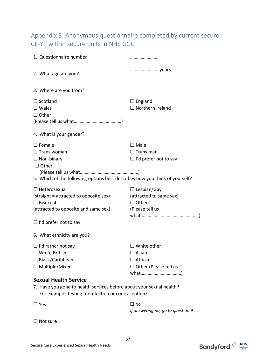# Appendix 3: Anonymous questionnaire completed by current secure CE-YP within secure units in NHS GGC

| 1. Questionnaire number                                                     |                                   |
|-----------------------------------------------------------------------------|-----------------------------------|
| 2. What age are you?                                                        | years                             |
| 3. Where are you from?                                                      |                                   |
| $\Box$ Scotland                                                             | $\Box$ England                    |
| $\square$ Wales                                                             | $\Box$ Northern Ireland           |
| $\Box$ Other                                                                |                                   |
|                                                                             |                                   |
| 4. What is your gender?                                                     |                                   |
| $\square$ Female                                                            | $\square$ Male                    |
| $\Box$ Trans woman                                                          | $\Box$ Trans man                  |
| $\Box$ Non-binary                                                           | $\Box$ I'd prefer not to say      |
| $\Box$ Other                                                                |                                   |
|                                                                             |                                   |
| 5. Which of the following options best describes how you think of yourself? |                                   |
| $\Box$ Heterosexual                                                         | $\Box$ Lesbian/Gay                |
| (straight = attracted to opposite sex)                                      | (attracted to same sex)           |
| $\Box$ Bisexual                                                             | $\Box$ Other                      |
| (attracted to opposite and same sex)                                        | (Please tell us                   |
|                                                                             |                                   |
| $\Box$ I'd prefer not to say                                                |                                   |
| 6. What ethnicity are you?                                                  |                                   |
| $\Box$ I'd rather not say                                                   | $\Box$ White other                |
| $\Box$ White British                                                        | $\square$ Asian                   |
| $\Box$ Black/Caribbean                                                      | $\Box$ African                    |
| $\Box$ Multiple/Mixed                                                       | $\Box$ Other (Please tell us      |
|                                                                             |                                   |
| <b>Sexual Health Service</b>                                                |                                   |
| 7. Have you gone to health services before about your sexual health?        |                                   |
| For example, testing for infection or contraception?                        |                                   |
| $\square$ Yes                                                               | $\Box$ No                         |
|                                                                             | If answering no, go to question 9 |
| Not sure                                                                    |                                   |

57

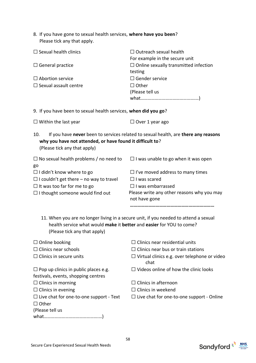| 8. If you have gone to sexual health services, where have you been? |
|---------------------------------------------------------------------|
| Please tick any that apply.                                         |

| $\Box$ Sexual health clinics                                                                         | $\Box$ Outreach sexual health<br>For example in the secure unit                      |  |  |  |
|------------------------------------------------------------------------------------------------------|--------------------------------------------------------------------------------------|--|--|--|
| $\Box$ General practice                                                                              | $\Box$ Online sexually transmitted infection<br>testing                              |  |  |  |
| $\Box$ Abortion service                                                                              | $\square$ Gender service                                                             |  |  |  |
| $\Box$ Sexual assault centre                                                                         | $\Box$ Other                                                                         |  |  |  |
|                                                                                                      | (Please tell us                                                                      |  |  |  |
|                                                                                                      |                                                                                      |  |  |  |
| 9. If you have been to sexual health services, when did you go?                                      |                                                                                      |  |  |  |
| $\Box$ Within the last year                                                                          | $\Box$ Over 1 year ago                                                               |  |  |  |
| 10.<br>why you have not attended, or have found it difficult to?<br>(Please tick any that apply)     | If you have never been to services related to sexual health, are there any reasons   |  |  |  |
| $\Box$ No sexual health problems / no need to<br>go                                                  | $\Box$ I was unable to go when it was open                                           |  |  |  |
| $\Box$ I didn't know where to go                                                                     | $\Box$ I've moved address to many times                                              |  |  |  |
| $\Box$ I couldn't get there – no way to travel                                                       | $\Box$ I was scared                                                                  |  |  |  |
| $\Box$ It was too far for me to go                                                                   | $\Box$ I was embarrassed                                                             |  |  |  |
| $\Box$ I thought someone would find out                                                              | Please write any other reasons why you may<br>not have gone                          |  |  |  |
|                                                                                                      |                                                                                      |  |  |  |
| health service what would make it better and easier for YOU to come?<br>(Please tick any that apply) | 11. When you are no longer living in a secure unit, if you needed to attend a sexual |  |  |  |
| $\Box$ Online booking                                                                                | $\exists$ Clinics near residential units                                             |  |  |  |
| $\Box$ Clinics near schools                                                                          | $\Box$ Clinics near bus or train stations                                            |  |  |  |
| $\Box$ Clinics in secure units                                                                       | $\Box$ Virtual clinics e.g. over telephone or video<br>chat                          |  |  |  |
| $\Box$ Pop up clinics in public places e.g.                                                          | $\Box$ Videos online of how the clinic looks                                         |  |  |  |
| festivals, events, shopping centres                                                                  |                                                                                      |  |  |  |
| $\Box$ Clinics in morning                                                                            | $\Box$ Clinics in afternoon                                                          |  |  |  |
| $\Box$ Clinics in evening                                                                            | $\Box$ Clinics in weekend                                                            |  |  |  |
| $\Box$ Live chat for one-to-one support - Text                                                       | $\Box$ Live chat for one-to-one support - Online                                     |  |  |  |
| $\Box$ Other                                                                                         |                                                                                      |  |  |  |
| (Please tell us                                                                                      |                                                                                      |  |  |  |
|                                                                                                      |                                                                                      |  |  |  |

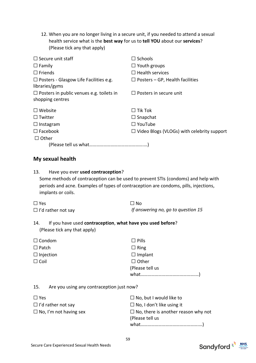12. When you are no longer living in a secure unit, if you needed to attend a sexual health service what is the **best way** for us to **tell YOU** about our **services**? (Please tick any that apply)

| $\Box$ Secure unit staff                                        | $\Box$ Schools                                    |
|-----------------------------------------------------------------|---------------------------------------------------|
| $\Box$ Family                                                   | $\Box$ Youth groups                               |
| $\Box$ Friends                                                  | $\Box$ Health services                            |
| $\Box$ Posters - Glasgow Life Facilities e.g.<br>libraries/gyms | $\Box$ Posters – GP, Health facilities            |
| $\Box$ Posters in public venues e.g. toilets in                 | $\Box$ Posters in secure unit                     |
| shopping centres                                                |                                                   |
| $\Box$ Website                                                  | $\Box$ Tik Tok                                    |
| $\sqcup$ Twitter                                                | $\Box$ Snapchat                                   |
| $\Box$ Instagram                                                | $\Box$ YouTube                                    |
| $\Box$ Facebook                                                 | $\Box$ Video Blogs (VLOGs) with celebrity support |
| $\Box$ Other                                                    |                                                   |
|                                                                 |                                                   |

# **My sexual health**

| Have you ever used contraception?<br>13.                                                                   | Some methods of contraception can be used to prevent STIs (condoms) and help with |
|------------------------------------------------------------------------------------------------------------|-----------------------------------------------------------------------------------|
| periods and acne. Examples of types of contraception are condoms, pills, injections,<br>implants or coils. |                                                                                   |
| $\Box$ Yes                                                                                                 | $\Box$ No                                                                         |
| $\Box$ I'd rather not say                                                                                  | If answering no, go to question 15                                                |
| If you have used contraception, what have you used before?<br>14.<br>(Please tick any that apply)          |                                                                                   |
| $\Box$ Condom                                                                                              | $\Box$ Pills                                                                      |
| $\Box$ Patch                                                                                               | $\Box$ Ring                                                                       |
| $\Box$ Injection                                                                                           | $\Box$ Implant                                                                    |
| $\Box$ Coil                                                                                                | $\Box$ Other                                                                      |
|                                                                                                            | (Please tell us                                                                   |
|                                                                                                            |                                                                                   |
| 15.<br>Are you using any contraception just now?                                                           |                                                                                   |
| $\Box$ Yes                                                                                                 | $\Box$ No, but I would like to                                                    |
| $\Box$ I'd rather not say                                                                                  | $\Box$ No, I don't like using it                                                  |
| $\Box$ No, I'm not having sex                                                                              | $\Box$ No, there is another reason why not                                        |
|                                                                                                            | (Please tell us                                                                   |
|                                                                                                            |                                                                                   |

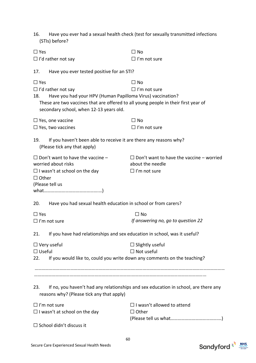| Have you ever had a sexual health check (test for sexually transmitted infections<br>16.<br>(STIs) before?                                                                                                                      |                                                                                            |  |  |  |
|---------------------------------------------------------------------------------------------------------------------------------------------------------------------------------------------------------------------------------|--------------------------------------------------------------------------------------------|--|--|--|
| $\Box$ Yes                                                                                                                                                                                                                      | $\Box$ No                                                                                  |  |  |  |
| $\Box$ I'd rather not say                                                                                                                                                                                                       | $\Box$ I'm not sure                                                                        |  |  |  |
| Have you ever tested positive for an STI?<br>17.                                                                                                                                                                                |                                                                                            |  |  |  |
| $\Box$ Yes                                                                                                                                                                                                                      | $\square$ No                                                                               |  |  |  |
| $\Box$ I'd rather not say<br>Have you had your HPV (Human Papilloma Virus) vaccination?<br>18.<br>These are two vaccines that are offered to all young people in their first year of<br>secondary school, when 12-13 years old. | $\Box$ I'm not sure                                                                        |  |  |  |
| $\Box$ Yes, one vaccine                                                                                                                                                                                                         | $\Box$ No                                                                                  |  |  |  |
| $\Box$ Yes, two vaccines                                                                                                                                                                                                        | $\Box$ I'm not sure                                                                        |  |  |  |
| 19.<br>If you haven't been able to receive it are there any reasons why?<br>(Please tick any that apply)                                                                                                                        |                                                                                            |  |  |  |
| $\Box$ Don't want to have the vaccine -<br>worried about risks<br>$\Box$ I wasn't at school on the day                                                                                                                          | $\Box$ Don't want to have the vaccine – worried<br>about the needle<br>$\Box$ I'm not sure |  |  |  |
| $\Box$ Other<br>(Please tell us                                                                                                                                                                                                 |                                                                                            |  |  |  |
| Have you had sexual health education in school or from carers?<br>20.                                                                                                                                                           |                                                                                            |  |  |  |
| $\Box$ Yes                                                                                                                                                                                                                      | $\Box$ No                                                                                  |  |  |  |
| $\Box$ I'm not sure                                                                                                                                                                                                             | If answering no, go to question 22                                                         |  |  |  |
| If you have had relationships and sex education in school, was it useful?<br>21.                                                                                                                                                |                                                                                            |  |  |  |
| $\Box$ Very useful                                                                                                                                                                                                              | $\Box$ Slightly useful                                                                     |  |  |  |
| $\Box$ Useful                                                                                                                                                                                                                   | $\Box$ Not useful                                                                          |  |  |  |
| If you would like to, could you write down any comments on the teaching?<br>22.                                                                                                                                                 |                                                                                            |  |  |  |
| 23.<br>reasons why? (Please tick any that apply)                                                                                                                                                                                | If no, you haven't had any relationships and sex education in school, are there any        |  |  |  |
| $\Box$ I'm not sure                                                                                                                                                                                                             | $\Box$ I wasn't allowed to attend                                                          |  |  |  |
| $\Box$ I wasn't at school on the day                                                                                                                                                                                            | $\Box$ Other                                                                               |  |  |  |
| $\Box$ School didn't discuss it                                                                                                                                                                                                 |                                                                                            |  |  |  |

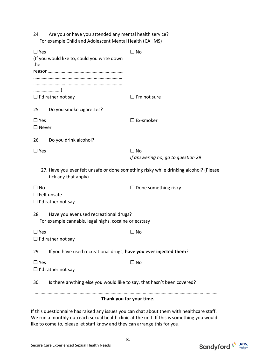24. Are you or have you attended any mental health service? For example Child and Adolescent Mental Health (CAHMS)

| $\Box$ Yes<br>(If you would like to, could you write down<br>the                                       |                                                                         | $\Box$ No                                                                             |  |  |  |
|--------------------------------------------------------------------------------------------------------|-------------------------------------------------------------------------|---------------------------------------------------------------------------------------|--|--|--|
|                                                                                                        |                                                                         |                                                                                       |  |  |  |
|                                                                                                        | $\Box$ I'd rather not say                                               | $\Box$ I'm not sure                                                                   |  |  |  |
| 25.                                                                                                    | Do you smoke cigarettes?                                                |                                                                                       |  |  |  |
| $\Box$ Yes<br>$\Box$ Never                                                                             |                                                                         | $\Box$ Ex-smoker                                                                      |  |  |  |
| 26.                                                                                                    | Do you drink alcohol?                                                   |                                                                                       |  |  |  |
| $\Box$ Yes                                                                                             |                                                                         | $\Box$ No<br>If answering no, go to question 29                                       |  |  |  |
|                                                                                                        | tick any that apply)                                                    | 27. Have you ever felt unsafe or done something risky while drinking alcohol? (Please |  |  |  |
| $\Box$ No                                                                                              | $\Box$ Felt unsafe<br>$\Box$ I'd rather not say                         | $\Box$ Done something risky                                                           |  |  |  |
| 28.<br>Have you ever used recreational drugs?<br>For example cannabis, legal highs, cocaine or ecstasy |                                                                         |                                                                                       |  |  |  |
| $\Box$ Yes                                                                                             | $\Box$ I'd rather not say                                               | $\Box$ No                                                                             |  |  |  |
| 29.                                                                                                    | If you have used recreational drugs, have you ever injected them?       |                                                                                       |  |  |  |
| $\Box$ Yes                                                                                             | $\Box$ I'd rather not say                                               | $\Box$ No                                                                             |  |  |  |
| 30.                                                                                                    | Is there anything else you would like to say, that hasn't been covered? |                                                                                       |  |  |  |
| Thank you for your time.                                                                               |                                                                         |                                                                                       |  |  |  |

If this questionnaire has raised any issues you can chat about them with healthcare staff. We run a monthly outreach sexual health clinic at the unit. If this is something you would like to come to, please let staff know and they can arrange this for you.

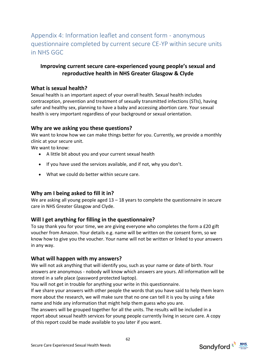# Appendix 4: Information leaflet and consent form - anonymous questionnaire completed by current secure CE-YP within secure units in NHS GGC

# **Improving current secure care-experienced young people's sexual and reproductive health in NHS Greater Glasgow & Clyde**

# **What is sexual health?**

Sexual health is an important aspect of your overall health. Sexual health includes contraception, prevention and treatment of sexually transmitted infections (STIs), having safer and healthy sex, planning to have a baby and accessing abortion care. Your sexual health is very important regardless of your background or sexual orientation.

# **Why are we asking you these questions?**

We want to know how we can make things better for you. Currently, we provide a monthly clinic at your secure unit.

We want to know:

- A little bit about you and your current sexual health
- If you have used the services available, and if not, why you don't.
- What we could do better within secure care.

# **Why am I being asked to fill it in?**

We are asking all young people aged  $13 - 18$  years to complete the questionnaire in secure care in NHS Greater Glasgow and Clyde.

# **Will I get anything for filling in the questionnaire?**

To say thank you for your time, we are giving everyone who completes the form a £20 gift voucher from Amazon. Your details e.g. name will be written on the consent form, so we know how to give you the voucher. Your name will not be written or linked to your answers in any way.

# **What will happen with my answers?**

We will not ask anything that will identify you, such as your name or date of birth. Your answers are anonymous - nobody will know which answers are yours. All information will be stored in a safe place (password protected laptop).

You will not get in trouble for anything your write in this questionnaire.

If we share your answers with other people the words that you have said to help them learn more about the research, we will make sure that no one can tell it is you by using a fake name and hide any information that might help them guess who you are.

The answers will be grouped together for all the units. The results will be included in a report about sexual health services for young people currently living in secure care. A copy of this report could be made available to you later if you want.

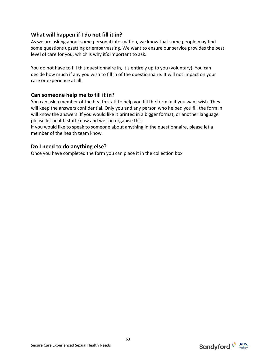# **What will happen if I do not fill it in?**

As we are asking about some personal information, we know that some people may find some questions upsetting or embarrassing. We want to ensure our service provides the best level of care for you, which is why it's important to ask.

You do not have to fill this questionnaire in, it's entirely up to you (voluntary). You can decide how much if any you wish to fill in of the questionnaire. It will not impact on your care or experience at all.

# **Can someone help me to fill it in?**

You can ask a member of the health staff to help you fill the form in if you want wish. They will keep the answers confidential. Only you and any person who helped you fill the form in will know the answers. If you would like it printed in a bigger format, or another language please let health staff know and we can organise this.

If you would like to speak to someone about anything in the questionnaire, please let a member of the health team know.

# **Do I need to do anything else?**

Once you have completed the form you can place it in the collection box.

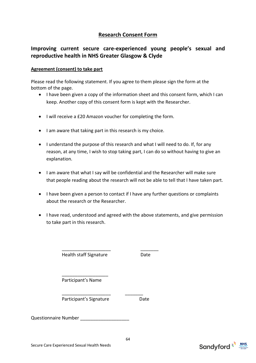# **Research Consent Form**

# **Improving current secure care-experienced young people's sexual and reproductive health in NHS Greater Glasgow & Clyde**

### **Agreement (consent) to take part**

Please read the following statement. If you agree to them please sign the form at the bottom of the page.

- I have been given a copy of the information sheet and this consent form, which I can keep. Another copy of this consent form is kept with the Researcher.
- I will receive a £20 Amazon voucher for completing the form.
- I am aware that taking part in this research is my choice.
- I understand the purpose of this research and what I will need to do. If, for any reason, at any time, I wish to stop taking part, I can do so without having to give an explanation.
- I am aware that what I say will be confidential and the Researcher will make sure that people reading about the research will not be able to tell that I have taken part.
- I have been given a person to contact if I have any further questions or complaints about the research or the Researcher.
- I have read, understood and agreed with the above statements, and give permission to take part in this research.

\_\_\_\_\_\_\_\_\_\_\_\_\_\_\_\_\_\_\_ \_\_\_\_\_\_\_ Health staff Signature **Date** 

\_\_\_\_\_\_\_\_\_\_\_\_\_\_\_\_\_\_ Participant's Name

Participant's Signature **Date** 

\_\_\_\_\_\_\_\_\_\_\_\_\_\_\_\_\_\_\_ \_\_\_\_\_\_\_

Questionnaire Number

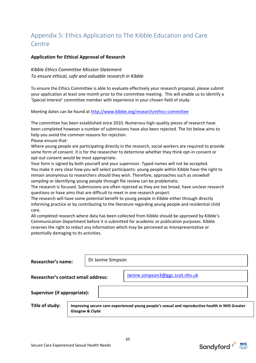# Appendix 5: Ethics Application to The Kibble Education and Care Centre

### **Application for Ethical Approval of Research**

### *Kibble Ethics Committee Mission Statement To ensure ethical, safe and valuable research in Kibble*

To ensure the Ethics Committee is able to evaluate effectively your research proposal, please submit your application at least one month prior to the committee meeting. This will enable us to identify a 'Special Interest' committee member with experience in your chosen field of study.

Meeting dates can be found a[t http://www.kibble.org/research/ethics-committee](http://www.kibble.org/research/ethics-committee)

The committee has been established since 2010. Numerous high-quality pieces of research have been completed however a number of submissions have also been rejected. The list below aims to help you avoid the common reasons for rejection.

Please ensure that:

Where young people are participating directly in the research, social workers are required to provide some form of consent. It is for the researcher to determine whether they think opt-in consent or opt-out consent would be most appropriate.

Your form is signed by both yourself and your supervisor. Typed names will not be accepted. You make it very clear how you will select participants: young people within Kibble have the right to remain anonymous to researchers should they wish. Therefore, approaches such as *snowball sampling* or identifying young people through file review can be problematic.

The research is focused. Submissions are often rejected as they are too broad, have unclear research questions or have aims that are difficult to meet in one research project.

The research will have some potential benefit to young people in Kibble either through directly informing practice or by contributing to the literature regarding young people and residential child care.

All completed research where data has been collected from Kibble should be approved by Kibble's Communication Department before it is submitted for academic or publication purposes. Kibble reserves the right to redact any information which may be perceived as misrepresentative or potentially damaging to its activities.

**Researcher's name:**

Dr Janine Simpson

**Researcher's contact email address:**

[Janine.simpson3@ggc.scot.nhs.uk](mailto:Janine.simpson3@ggc.scot.nhs.uk)

**Supervisor (if appropriate):**

**Title of study: Improving secure care-experienced young people's sexual and reproductive health in NHS Greater Glasgow & Clyde**

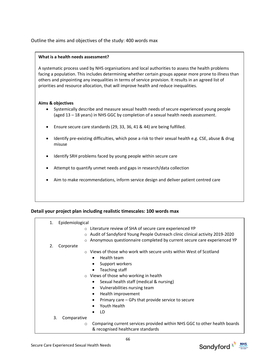### Outline the aims and objectives of the study: 400 words max

#### **What is a health needs assessment?**

A systematic process used by NHS organisations and local authorities to assess the health problems facing a population. This includes determining whether certain groups appear more prone to illness than others and pinpointing any inequalities in terms of service provision. It results in an agreed list of priorities and resource allocation, that will improve health and reduce inequalities.

#### **Aims & objectives**

- Systemically describe and measure sexual health needs of secure experienced young people (aged 13 – 18 years) in NHS GGC by completion of a sexual health needs assessment.
- Ensure secure care standards (29, 33, 36, 41 & 44) are being fulfilled.
- Identify pre-existing difficulties, which pose a risk to their sexual health e.g. CSE, abuse & drug misuse
- Identify SRH problems faced by young people within secure care
- Attempt to quantify unmet needs and gaps in research/data collection
- Aim to make recommendations, inform service design and deliver patient centred care

#### **Detail your project plan including realistic timescales: 100 words max**

| 1. | Epidemiological |                                                                             |
|----|-----------------|-----------------------------------------------------------------------------|
|    |                 | ○ Literature review of SHA of secure care experienced YP                    |
|    |                 |                                                                             |
|    | $\circ$         | Audit of Sandyford Young People Outreach clinic clinical activity 2019-2020 |
|    | $\circ$         | Anonymous questionnaire completed by current secure care experienced YP     |
| 2. | Corporate       |                                                                             |
|    |                 | $\circ$ Views of those who work with secure units within West of Scotland   |
|    |                 | Health team<br>$\bullet$                                                    |
|    |                 | Support workers<br>$\bullet$                                                |
|    |                 | Teaching staff<br>$\bullet$                                                 |
|    |                 | o Views of those who working in health                                      |
|    |                 | Sexual health staff (medical & nursing)<br>$\bullet$                        |
|    |                 | Vulnerabilities nursing team<br>٠                                           |
|    |                 | Health improvement<br>$\bullet$                                             |
|    |                 | Primary care – GPs that provide service to secure                           |
|    |                 | Youth Health                                                                |
|    |                 | LD                                                                          |
|    |                 |                                                                             |
| 3. | Comparative     |                                                                             |
|    | $\circ$         | Comparing current services provided within NHS GGC to other health boards   |
|    |                 | & recognised healthcare standards                                           |



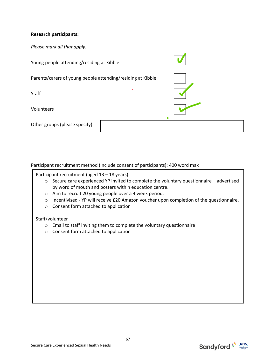### **Research participants:**

*Please mark all that apply:*

Young people attending/residing at Kibble Parents/carers of young people attending/residing at Kibble **Staff** Volunteers Other groups (please specify)

Participant recruitment method (include consent of participants): 400 word max

Participant recruitment (aged 13 – 18 years)

- o Secure care experienced YP invited to complete the voluntary questionnaire advertised by word of mouth and posters within education centre.
- o Aim to recruit 20 young people over a 4 week period.
- o Incentivised YP will receive £20 Amazon voucher upon completion of the questionnaire.
- o Consent form attached to application

#### Staff/volunteer

- o Email to staff inviting them to complete the voluntary questionnaire
- o Consent form attached to application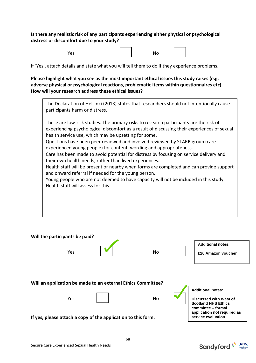### **Is there any realistic risk of any participants experiencing either physical or psychological distress or discomfort due to your study?**

| es' |  |
|-----|--|
|-----|--|

If 'Yes', attach details and state what you will tell them to do if they experience problems.

**Please highlight what you see as the most important ethical issues this study raises (e.g. adverse physical or psychological reactions, problematic items within questionnaires etc). How will your research address these ethical issues?**



|                                                                                                                                                                                                                    | Will the participants be paid? |  |     |  |                                                |  |
|--------------------------------------------------------------------------------------------------------------------------------------------------------------------------------------------------------------------|--------------------------------|--|-----|--|------------------------------------------------|--|
|                                                                                                                                                                                                                    | Yes                            |  | No. |  | <b>Additional notes:</b><br>£20 Amazon voucher |  |
| Will an application be made to an external Ethics Committee?<br><b>Additional notes:</b><br>Yes<br>No<br>Discussed with West of<br><b>Scotland NHS Ethics</b><br>committee - formal<br>application not required as |                                |  |     |  |                                                |  |
| If yes, please attach a copy of the application to this form.                                                                                                                                                      |                                |  |     |  | service evaluation                             |  |

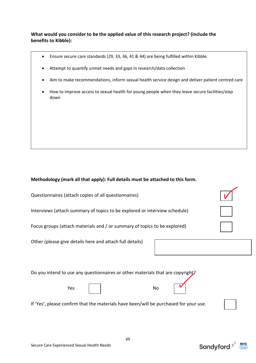### **What would you consider to be the applied value of this research project? (include the benefits to Kibble):**

- Ensure secure care standards (29, 33, 36, 41 & 44) are being fulfilled within Kibble.
- Attempt to quantify unmet needs and gaps in research/data collection
- Aim to make recommendations, inform sexual health service design and deliver patient centred care
- How to improve access to sexual health for young people when they leave secure facilities/step down

### **Methodology (mark all that apply): Full details must be attached to this form.**

| Questionnaires (attach copies of all questionnaires)                       |  |
|----------------------------------------------------------------------------|--|
| Interviews (attach summary of topics to be explored or interview schedule) |  |
| Focus groups (attach materials and / or summary of topics to be explored)  |  |
| Other (please give details here and attach full details)                   |  |

Do you intend to use any questionnaires or other materials that are copyright?

| Yes |  |  | No |
|-----|--|--|----|
|-----|--|--|----|

If 'Yes', please confirm that the materials have been/will be purchased for your use.

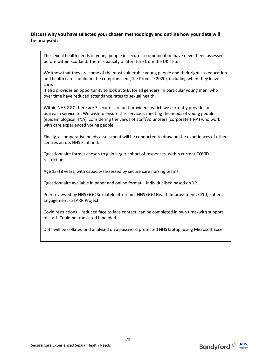### **Discuss why you have selected your chosen methodology and outline how your data will be analysed:**

The sexual health needs of young people in secure accommodation have never been assessed before within Scotland. There is paucity of literature from the UK also.

We know that they are some of the most vulnerable young people and their rights to education and health care should not be compromised (The Promise 2020), including when they leave care.

It also provides an opportunity to look at SHA for all genders, in particular young men, who over time have reduced attendance rates to sexual health.

Within NHS GGC there are 3 secure care unit providers, which we currently provide an outreach service to. We wish to ensure this service is meeting the needs of young people (epidemiological HNA), considering the views of staff/volunteers (corporate HNA) who work with care experienced young people.

Finally, a comparative needs assessment will be conducted to draw on the experiences of other centres across NHS Scotland.

Questionnaire format chosen to gain larger cohort of responses, within current COVID restrictions.

Age 13-18 years, with capacity (assessed by secure care nursing team)

Questionnaire available in paper and online format – individualised based on YP.

Peer reviewed by NHS GGC Sexual Health Team, NHS GGC Health Improvement, CYCJ, Patient Engagement - STARR Project

Covid restrictions – reduced face to face contact, can be completed in own time/with support of staff. Could be translated if needed.

Data will be collated and analysed on a password protected NHS laptop, using Microsoft Excel.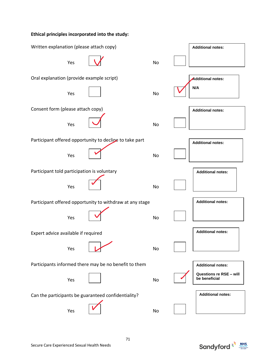# **Ethical principles incorporated into the study:** Written explanation (please attach copy) Yes <u>Notice and Note and Note and Note and Note and Note and Note and Note and Note and Note and Note and Note and Note and Note and Note and Note and Note and Note and Note and Note and Note and Note and Note and Note and</u> Oral explanation (provide example script) Yes and the set of the set of the No Consent form (please attach copy) Yes  $\vert \bullet \vert$  No Participant offered opportunity to declipe to take part Yes and the contract of the North States of the North States of the North States of the North States of the No Participant told participation is voluntary Yes a set of the set of the No Participant offered opportunity to withdraw at any stage Yes  $|\nabla|$  No. Expert advice available if required Yes | **V** No Participants informed there may be no benefit to them Yes and the set of the set of the No Can the participants be guaranteed confidentiality? Yes  $\vert \hspace{.1cm} \vert$  No **Additional notes: Additional notes: N/A Additional notes: Additional notes: Additional notes: Additional notes: Additional notes: Additional notes: Questions re RSE – will be beneficial Additional notes:**

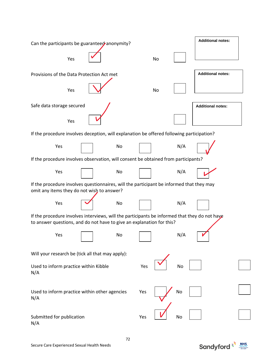| Can the participants be guaranteed anonymity?                                                                                                                          |  |    |     |    | <b>Additional notes:</b> |  |  |  |
|------------------------------------------------------------------------------------------------------------------------------------------------------------------------|--|----|-----|----|--------------------------|--|--|--|
| Yes                                                                                                                                                                    |  |    |     | No |                          |  |  |  |
| Provisions of the Data Protection Act met                                                                                                                              |  |    |     |    | <b>Additional notes:</b> |  |  |  |
| Yes                                                                                                                                                                    |  |    |     | No |                          |  |  |  |
| Safe data storage secured<br><b>Additional notes:</b>                                                                                                                  |  |    |     |    |                          |  |  |  |
| Yes                                                                                                                                                                    |  |    |     |    |                          |  |  |  |
| If the procedure involves deception, will explanation be offered following participation?                                                                              |  |    |     |    |                          |  |  |  |
| Yes                                                                                                                                                                    |  | No |     |    | N/A                      |  |  |  |
| If the procedure involves observation, will consent be obtained from participants?                                                                                     |  |    |     |    |                          |  |  |  |
| Yes                                                                                                                                                                    |  | No |     |    | N/A                      |  |  |  |
| If the procedure involves questionnaires, will the participant be informed that they may<br>omit any items they do not wish to answer?                                 |  |    |     |    |                          |  |  |  |
| Yes                                                                                                                                                                    |  | No |     |    | N/A                      |  |  |  |
| If the procedure involves interviews, will the participants be informed that they do not have<br>to answer questions, and do not have to give an explanation for this? |  |    |     |    |                          |  |  |  |
| Yes                                                                                                                                                                    |  | No |     |    | N/A                      |  |  |  |
| Will your research be (tick all that may apply):                                                                                                                       |  |    |     |    |                          |  |  |  |
| Used to inform practice within Kibble<br>N/A                                                                                                                           |  |    | Yes |    | No                       |  |  |  |
| Used to inform practice within other agencies<br>N/A                                                                                                                   |  |    | Yes |    | No                       |  |  |  |
| Submitted for publication<br>N/A                                                                                                                                       |  |    | Yes |    | No                       |  |  |  |

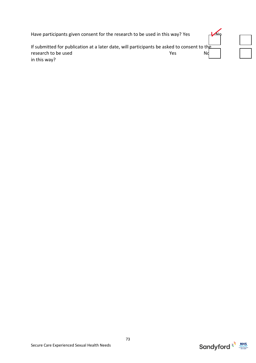| Have participants given consent for the research to be used in this way? Yes                                                      |     |  |
|-----------------------------------------------------------------------------------------------------------------------------------|-----|--|
| If submitted for publication at a later date, will participants be asked to consent to the<br>research to be used<br>in this way? | Yes |  |



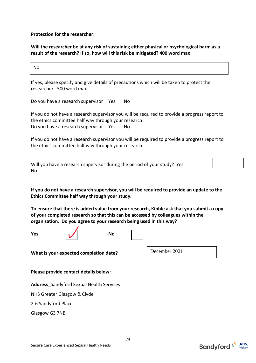**Protection for the researcher:**

**Will the researcher be at any risk of sustaining either physical or psychological harm as a result of the research? If so, how will this risk be mitigated? 400 word max**

No

If yes, please specify and give details of precautions which will be taken to protect the researcher. 500 word max

Do you have a research supervisor Yes No

If you do not have a research supervisor you will be required to provide a progress report to the ethics committee half way through your research. Do you have a research supervisor Yes No

If you do not have a research supervisor you will be required to provide a progress report to the ethics committee half way through your research.

Will you have a research supervisor during the period of your study? Yes No

**If you do not have a research supervisor, you will be required to provide an update to the Ethics Committee half way through your study.**

**To ensure that there is added value from your research, Kibble ask that you submit a copy of your completed research so that this can be accessed by colleagues within the organisation. Do you agree to your research being used in this way?**





**What is your expected completion date?** 

December 2021

**Please provide contact details below:** 

**Address**\_Sandyford Sexual Health Services

NHS Greater Glasgow & Clyde

2-6 Sandyford Place

Glasgow G3 7NB



74

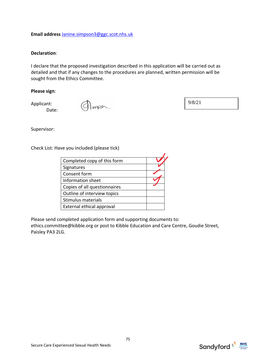#### **Email address** [Janine.simpson3@ggc.scot.nhs.uk](mailto:Janine.simpson3@ggc.scot.nhs.uk)

#### **Declaration**:

I declare that the proposed investigation described in this application will be carried out as detailed and that if any changes to the procedures are planned, written permission will be sought from the Ethics Committee.

#### **Please sign**:

Applicant: Date:

Impsh.

Supervisor:

Check List: Have you included (please tick)

| Completed copy of this form  |  |
|------------------------------|--|
| Signatures                   |  |
| Consent form                 |  |
| Information sheet            |  |
| Copies of all questionnaires |  |
| Outline of interview topics  |  |
| Stimulus materials           |  |
| External ethical approval    |  |

Please send completed application form and supporting documents to: ethics.committee@kibble.org or post to Kibble Education and Care Centre, Goudie Street, Paisley PA3 2LG.



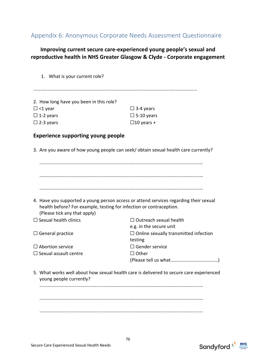## Appendix 6: Anonymous Corporate Needs Assessment Questionnaire

### **Improving current secure care-experienced young people's sexual and reproductive health in NHS Greater Glasgow & Clyde - Corporate engagement**

1. What is your current role?

…………………………………………………………………………………………………………………………

| $\Box$ 3-4 years  |
|-------------------|
| $\Box$ 5-10 years |
| $\Box$ 10 years + |
|                   |

#### **Experience supporting young people**

3. Are you aware of how young people can seek/ obtain sexual health care currently?

| 4. Have you supported a young person access or attend services regarding their sexual |                                                                                         |
|---------------------------------------------------------------------------------------|-----------------------------------------------------------------------------------------|
| health before? For example, testing for infection or contraception.                   |                                                                                         |
| (Please tick any that apply)                                                          |                                                                                         |
| $\Box$ Sexual health clinics                                                          | $\Box$ Outreach sexual health                                                           |
|                                                                                       | e.g. in the secure unit                                                                 |
| $\Box$ General practice                                                               | $\Box$ Online sexually transmitted infection                                            |
|                                                                                       | testing                                                                                 |
| $\Box$ Abortion service                                                               | $\Box$ Gender service                                                                   |
| $\Box$ Sexual assault centre                                                          | $\Box$ Other                                                                            |
|                                                                                       |                                                                                         |
| young people currently?                                                               | 5. What works well about how sexual health care is delivered to secure care experienced |
|                                                                                       |                                                                                         |
|                                                                                       |                                                                                         |
|                                                                                       |                                                                                         |
|                                                                                       |                                                                                         |
|                                                                                       |                                                                                         |



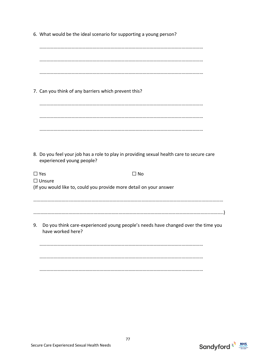6. What would be the ideal scenario for supporting a young person?

………………………………………………………………………………………………………………………… ………………………………………………………………………………………………………………………… ………………………………………………………………………………………………………………………… 7. Can you think of any barriers which prevent this? ………………………………………………………………………………………………………………………… ………………………………………………………………………………………………………………………… ………………………………………………………………………………………………………………………… 8. Do you feel your job has a role to play in providing sexual health care to secure care experienced young people?  $\Box$  Yes  $\Box$  No ☐ Unsure (If you would like to, could you provide more detail on your answer ………………………….………………………………………………………………………………………………………………… …………………………………………………………………………………………………………………………………..………..) 9. Do you think care-experienced young people's needs have changed over the time you have worked here? ………………………………………………………………………………………………………………………… ………………………………………………………………………………………………………………………… …………………………………………………………………………………………………………………………



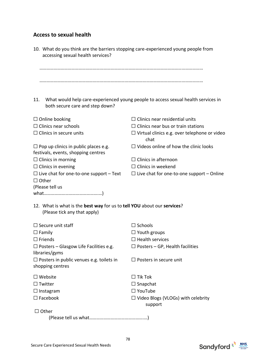## **Access to sexual health**

| 10. What do you think are the barriers stopping care-experienced young people from<br>accessing sexual health services? |                                                                                   |
|-------------------------------------------------------------------------------------------------------------------------|-----------------------------------------------------------------------------------|
|                                                                                                                         |                                                                                   |
| 11.<br>both secure care and step down?                                                                                  | What would help care-experienced young people to access sexual health services in |
| $\Box$ Online booking                                                                                                   | $\Box$ Clinics near residential units                                             |
| $\Box$ Clinics near schools                                                                                             | $\Box$ Clinics near bus or train stations                                         |
| $\Box$ Clinics in secure units                                                                                          | $\Box$ Virtual clinics e.g. over telephone or video<br>chat                       |
| $\Box$ Pop up clinics in public places e.g.<br>festivals, events, shopping centres                                      | $\Box$ Videos online of how the clinic looks                                      |
| $\Box$ Clinics in morning                                                                                               | $\Box$ Clinics in afternoon                                                       |
| $\Box$ Clinics in evening                                                                                               | $\Box$ Clinics in weekend                                                         |
| $\Box$ Live chat for one-to-one support – Text                                                                          | $\Box$ Live chat for one-to-one support – Online                                  |
| $\Box$ Other                                                                                                            |                                                                                   |
| (Please tell us                                                                                                         |                                                                                   |
|                                                                                                                         |                                                                                   |
| 12. What is what is the best way for us to tell YOU about our services?<br>(Please tick any that apply)                 |                                                                                   |
| $\Box$ Secure unit staff                                                                                                | $\Box$ Schools                                                                    |
| $\Box$ Family                                                                                                           | $\Box$ Youth groups                                                               |
| $\Box$ Friends                                                                                                          | $\Box$ Health services                                                            |
| $\Box$ Posters – Glasgow Life Facilities e.g.<br>libraries/gyms                                                         | $\Box$ Posters – GP, Health facilities                                            |
| $\Box$ Posters in public venues e.g. toilets in<br>shopping centres                                                     | $\Box$ Posters in secure unit                                                     |
| $\Box$ Website                                                                                                          | $\Box$ Tik Tok                                                                    |
| $\Box$ Twitter                                                                                                          | $\Box$ Snapchat                                                                   |
| $\Box$ Instagram                                                                                                        | $\Box$ YouTube                                                                    |
| $\Box$ Facebook                                                                                                         | $\Box$ Video Blogs (VLOGs) with celebrity<br>support                              |
| $\Box$ Other                                                                                                            |                                                                                   |
|                                                                                                                         |                                                                                   |

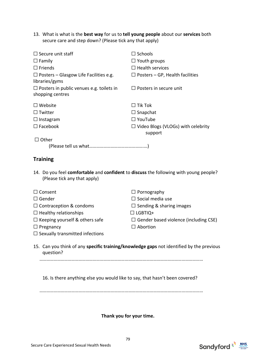13. What is what is the **best way** for us to **tell young people** about our **services** both secure care and step down? (Please tick any that apply)

| $\Box$ Secure unit staff                                                                                              | $\Box$ Schools                                       |
|-----------------------------------------------------------------------------------------------------------------------|------------------------------------------------------|
| $\Box$ Family                                                                                                         | $\Box$ Youth groups                                  |
| $\Box$ Friends                                                                                                        | $\Box$ Health services                               |
| $\Box$ Posters – Glasgow Life Facilities e.g.<br>libraries/gyms                                                       | $\Box$ Posters – GP, Health facilities               |
| $\Box$ Posters in public venues e.g. toilets in<br>shopping centres                                                   | $\Box$ Posters in secure unit                        |
| $\Box$ Website                                                                                                        | $\Box$ Tik Tok                                       |
| $\Box$ Twitter                                                                                                        | $\Box$ Snapchat                                      |
| $\Box$ Instagram                                                                                                      | $\Box$ YouTube                                       |
| $\Box$ Facebook                                                                                                       | $\Box$ Video Blogs (VLOGs) with celebrity<br>support |
| $\Box$ Other                                                                                                          |                                                      |
|                                                                                                                       |                                                      |
| <b>Training</b>                                                                                                       |                                                      |
| 14. Do you feel comfortable and confident to discuss the following with young people?<br>(Please tick any that apply) |                                                      |
| $\Box$ Consent                                                                                                        | $\Box$ Pornography                                   |
| $\Box$ Gender                                                                                                         | $\Box$ Social media use                              |
| $\Box$ Contraception & condoms                                                                                        | $\Box$ Sending & sharing images                      |

- ☐ Healthy relationships ☐ LGBTIQ+
- 
- ☐ Pregnancy ☐ Abortion
- $\Box$  Sexually transmitted infections
- 
- ☐ Keeping yourself & others safe ☐ Gender based violence (including CSE)
	-
- 15. Can you think of any **specific training/knowledge gaps** not identified by the previous question?

…………………………………………………………………………………………………………………………

16. Is there anything else you would like to say, that hasn't been covered?

…………………………………………………………………………………………………………………………

**Thank you for your time.**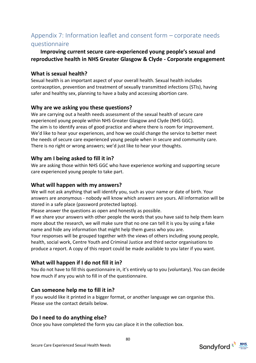# Appendix 7: Information leaflet and consent form – corporate needs questionnaire

### **Improving current secure care-experienced young people's sexual and reproductive health in NHS Greater Glasgow & Clyde - Corporate engagement**

#### **What is sexual health?**

Sexual health is an important aspect of your overall health. Sexual health includes contraception, prevention and treatment of sexually transmitted infections (STIs), having safer and healthy sex, planning to have a baby and accessing abortion care.

### **Why are we asking you these questions?**

We are carrying out a health needs assessment of the sexual health of secure care experienced young people within NHS Greater Glasgow and Clyde (NHS GGC). The aim is to identify areas of good practice and where there is room for improvement. We'd like to hear your experiences, and how we could change the service to better meet the needs of secure care experienced young people when in secure and community care. There is no right or wrong answers; we'd just like to hear your thoughts.

### **Why am I being asked to fill it in?**

We are asking those within NHS GGC who have experience working and supporting secure care experienced young people to take part.

#### **What will happen with my answers?**

We will not ask anything that will identify you, such as your name or date of birth. Your answers are anonymous - nobody will know which answers are yours. All information will be stored in a safe place (password protected laptop).

Please answer the questions as open and honestly as possible.

If we share your answers with other people the words that you have said to help them learn more about the research, we will make sure that no one can tell it is you by using a fake name and hide any information that might help them guess who you are.

Your responses will be grouped together with the views of others including young people, health, social work, Centre Youth and Criminal Justice and third sector organisations to produce a report. A copy of this report could be made available to you later if you want.

## **What will happen if I do not fill it in?**

You do not have to fill this questionnaire in, it's entirely up to you (voluntary). You can decide how much if any you wish to fill in of the questionnaire.

#### **Can someone help me to fill it in?**

If you would like it printed in a bigger format, or another language we can organise this. Please use the contact details below.

## **Do I need to do anything else?**

Once you have completed the form you can place it in the collection box.

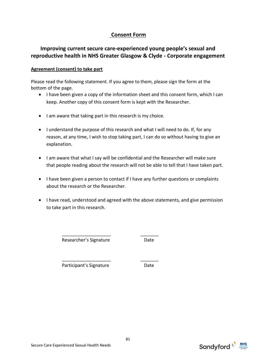#### **Consent Form**

### **Improving current secure care-experienced young people's sexual and reproductive health in NHS Greater Glasgow & Clyde - Corporate engagement**

#### **Agreement (consent) to take part**

Please read the following statement. If you agree to them, please sign the form at the bottom of the page.

- I have been given a copy of the information sheet and this consent form, which I can keep. Another copy of this consent form is kept with the Researcher.
- I am aware that taking part in this research is my choice.
- I understand the purpose of this research and what I will need to do. If, for any reason, at any time, I wish to stop taking part, I can do so without having to give an explanation.
- I am aware that what I say will be confidential and the Researcher will make sure that people reading about the research will not be able to tell that I have taken part.
- I have been given a person to contact if I have any further questions or complaints about the research or the Researcher.
- I have read, understood and agreed with the above statements, and give permission to take part in this research.

\_\_\_\_\_\_\_\_\_\_\_\_\_\_\_\_\_\_\_ \_\_\_\_\_\_\_

\_\_\_\_\_\_\_\_\_\_\_\_\_\_\_\_\_\_\_ \_\_\_\_\_\_\_

Researcher's Signature **Date** 

Participant's Signature Date

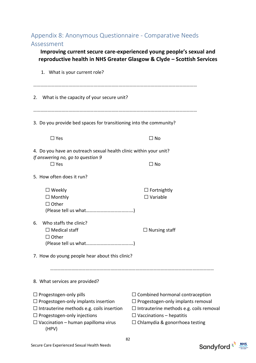# Appendix 8: Anonymous Questionnaire - Comparative Needs Assessment

**Improving current secure care-experienced young people's sexual and reproductive health in NHS Greater Glasgow & Clyde – Scottish Services**

| 1. What is your current role?                                                                                                                                                                                                |                                                                                                                                                                                                                  |  |
|------------------------------------------------------------------------------------------------------------------------------------------------------------------------------------------------------------------------------|------------------------------------------------------------------------------------------------------------------------------------------------------------------------------------------------------------------|--|
| 2. What is the capacity of your secure unit?                                                                                                                                                                                 |                                                                                                                                                                                                                  |  |
| 3. Do you provide bed spaces for transitioning into the community?                                                                                                                                                           |                                                                                                                                                                                                                  |  |
| $\Box$ Yes                                                                                                                                                                                                                   | $\Box$ No                                                                                                                                                                                                        |  |
| 4. Do you have an outreach sexual health clinic within your unit?<br>If answering no, go to question 9                                                                                                                       |                                                                                                                                                                                                                  |  |
| $\Box$ Yes                                                                                                                                                                                                                   | $\Box$ No                                                                                                                                                                                                        |  |
| 5. How often does it run?                                                                                                                                                                                                    |                                                                                                                                                                                                                  |  |
| $\square$ Weekly<br>$\Box$ Monthly<br>$\Box$ Other                                                                                                                                                                           | $\Box$ Fortnightly<br>$\Box$ Variable                                                                                                                                                                            |  |
| Who staffs the clinic?<br>6.<br>$\Box$ Medical staff<br>$\Box$ Other<br>7. How do young people hear about this clinic?                                                                                                       | $\Box$ Nursing staff                                                                                                                                                                                             |  |
| 8. What services are provided?                                                                                                                                                                                               |                                                                                                                                                                                                                  |  |
| $\Box$ Progestogen-only pills<br>$\Box$ Progestogen-only implants insertion<br>$\Box$ Intrauterine methods e.g. coils insertion<br>$\Box$ Progestogen-only injections<br>$\Box$ Vaccination – human papilloma virus<br>(HPV) | $\Box$ Combined hormonal contraception<br>$\Box$ Progestogen-only implants removal<br>$\Box$ Intrauterine methods e.g. coils removal<br>$\Box$ Vaccinations – hepatitis<br>$\Box$ Chlamydia & gonorrhoea testing |  |



82

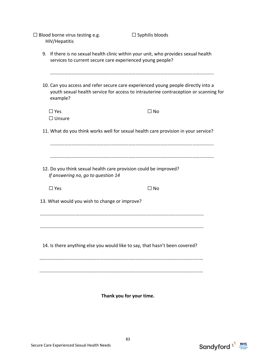| $\Box$ Blood borne virus testing e.g.<br>HIV/Hepatitis                                                                                                                                       | $\Box$ Syphilis bloods                                                               |
|----------------------------------------------------------------------------------------------------------------------------------------------------------------------------------------------|--------------------------------------------------------------------------------------|
| 9. If there is no sexual health clinic within your unit, who provides sexual health<br>services to current secure care experienced young people?                                             |                                                                                      |
| 10. Can you access and refer secure care experienced young people directly into a<br>example?                                                                                                | youth sexual health service for access to intrauterine contraception or scanning for |
| $\Box$ Yes                                                                                                                                                                                   | $\Box$ No                                                                            |
| $\Box$ Unsure                                                                                                                                                                                |                                                                                      |
| 11. What do you think works well for sexual health care provision in your service?<br>12. Do you think sexual health care provision could be improved?<br>If answering no, go to question 14 |                                                                                      |
| $\Box$ Yes                                                                                                                                                                                   | $\square$ No                                                                         |
| 13. What would you wish to change or improve?                                                                                                                                                |                                                                                      |
| 14. Is there anything else you would like to say, that hasn't been covered?                                                                                                                  |                                                                                      |
|                                                                                                                                                                                              |                                                                                      |

**Thank you for your time.** 

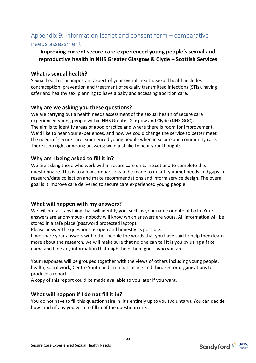# Appendix 9: Information leaflet and consent form – comparative needs assessment

### **Improving current secure care-experienced young people's sexual and reproductive health in NHS Greater Glasgow & Clyde – Scottish Services**

#### **What is sexual health?**

Sexual health is an important aspect of your overall health. Sexual health includes contraception, prevention and treatment of sexually transmitted infections (STIs), having safer and healthy sex, planning to have a baby and accessing abortion care.

### **Why are we asking you these questions?**

We are carrying out a health needs assessment of the sexual health of secure care experienced young people within NHS Greater Glasgow and Clyde (NHS GGC). The aim is to identify areas of good practice and where there is room for improvement. We'd like to hear your experiences, and how we could change the service to better meet the needs of secure care experienced young people when in secure and community care. There is no right or wrong answers; we'd just like to hear your thoughts.

### **Why am I being asked to fill it in?**

We are asking those who work within secure care units in Scotland to complete this questionnaire. This is to allow comparisons to be made to quantify unmet needs and gaps in research/data collection and make recommendations and inform service design. The overall goal is it improve care delivered to secure care experienced young people.

#### **What will happen with my answers?**

We will not ask anything that will identify you, such as your name or date of birth. Your answers are anonymous - nobody will know which answers are yours. All information will be stored in a safe place (password protected laptop).

Please answer the questions as open and honestly as possible.

If we share your answers with other people the words that you have said to help them learn more about the research, we will make sure that no one can tell it is you by using a fake name and hide any information that might help them guess who you are.

Your responses will be grouped together with the views of others including young people, health, social work, Centre Youth and Criminal Justice and third sector organisations to produce a report.

A copy of this report could be made available to you later if you want.

#### **What will happen if I do not fill it in?**

You do not have to fill this questionnaire in, it's entirely up to you (voluntary). You can decide how much if any you wish to fill in of the questionnaire.

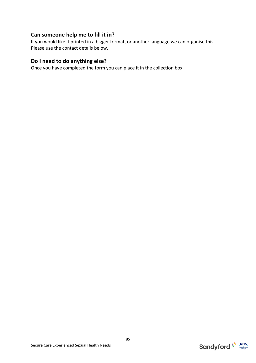#### **Can someone help me to fill it in?**

If you would like it printed in a bigger format, or another language we can organise this. Please use the contact details below.

#### **Do I need to do anything else?**

Once you have completed the form you can place it in the collection box.